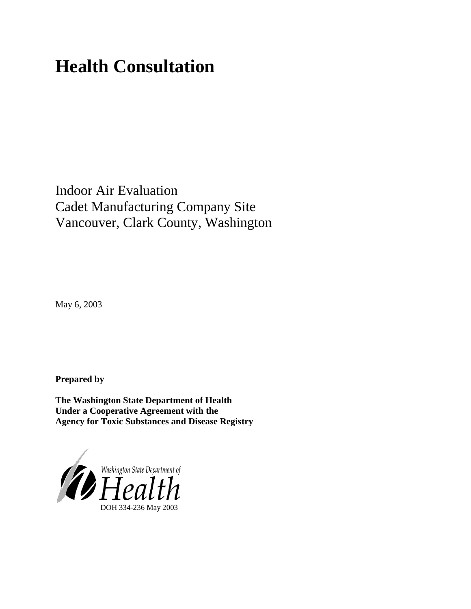# **Health Consultation**

Indoor Air Evaluation Cadet Manufacturing Company Site Vancouver, Clark County, Washington

May 6, 2003

**Prepared by**

**The Washington State Department of Health Under a Cooperative Agreement with the Agency for Toxic Substances and Disease Registry**

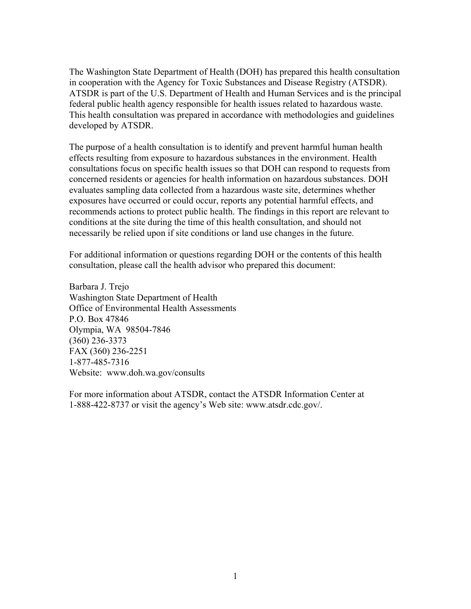The Washington State Department of Health (DOH) has prepared this health consultation in cooperation with the Agency for Toxic Substances and Disease Registry (ATSDR). ATSDR is part of the U.S. Department of Health and Human Services and is the principal federal public health agency responsible for health issues related to hazardous waste. This health consultation was prepared in accordance with methodologies and guidelines developed by ATSDR.

The purpose of a health consultation is to identify and prevent harmful human health effects resulting from exposure to hazardous substances in the environment. Health consultations focus on specific health issues so that DOH can respond to requests from concerned residents or agencies for health information on hazardous substances. DOH evaluates sampling data collected from a hazardous waste site, determines whether exposures have occurred or could occur, reports any potential harmful effects, and recommends actions to protect public health. The findings in this report are relevant to conditions at the site during the time of this health consultation, and should not necessarily be relied upon if site conditions or land use changes in the future.

For additional information or questions regarding DOH or the contents of this health consultation, please call the health advisor who prepared this document:

Barbara J. Trejo Washington State Department of Health Office of Environmental Health Assessments P.O. Box 47846 Olympia, WA 98504-7846 (360) 236-3373 FAX (360) 236-2251 1-877-485-7316 Website: [www.doh.wa.gov/](http://www.doh.wa.gov/consults)consults

For more information about ATSDR, contact the ATSDR Information Center at 1-888-422-8737 or visit the agency's Web site: www.atsdr.cdc.gov/.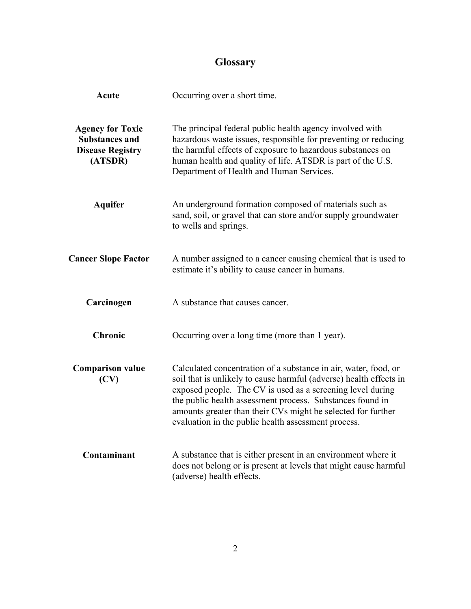## **Glossary**

| <b>Acute</b>                                                                           | Occurring over a short time.                                                                                                                                                                                                                                                                                                                                                            |
|----------------------------------------------------------------------------------------|-----------------------------------------------------------------------------------------------------------------------------------------------------------------------------------------------------------------------------------------------------------------------------------------------------------------------------------------------------------------------------------------|
| <b>Agency for Toxic</b><br><b>Substances and</b><br><b>Disease Registry</b><br>(ATSDR) | The principal federal public health agency involved with<br>hazardous waste issues, responsible for preventing or reducing<br>the harmful effects of exposure to hazardous substances on<br>human health and quality of life. ATSDR is part of the U.S.<br>Department of Health and Human Services.                                                                                     |
| <b>Aquifer</b>                                                                         | An underground formation composed of materials such as<br>sand, soil, or gravel that can store and/or supply groundwater<br>to wells and springs.                                                                                                                                                                                                                                       |
| <b>Cancer Slope Factor</b>                                                             | A number assigned to a cancer causing chemical that is used to<br>estimate it's ability to cause cancer in humans.                                                                                                                                                                                                                                                                      |
| Carcinogen                                                                             | A substance that causes cancer.                                                                                                                                                                                                                                                                                                                                                         |
| <b>Chronic</b>                                                                         | Occurring over a long time (more than 1 year).                                                                                                                                                                                                                                                                                                                                          |
| <b>Comparison value</b><br>(CV)                                                        | Calculated concentration of a substance in air, water, food, or<br>soil that is unlikely to cause harmful (adverse) health effects in<br>exposed people. The CV is used as a screening level during<br>the public health assessment process. Substances found in<br>amounts greater than their CVs might be selected for further<br>evaluation in the public health assessment process. |
| Contaminant                                                                            | A substance that is either present in an environment where it<br>does not belong or is present at levels that might cause harmful<br>(adverse) health effects.                                                                                                                                                                                                                          |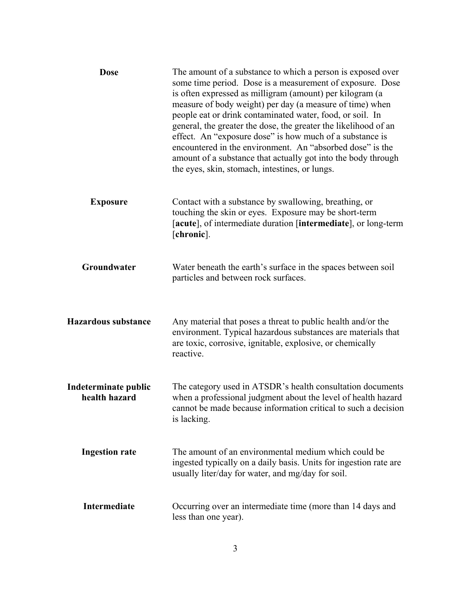| <b>Dose</b>                           | The amount of a substance to which a person is exposed over<br>some time period. Dose is a measurement of exposure. Dose<br>is often expressed as milligram (amount) per kilogram (a<br>measure of body weight) per day (a measure of time) when<br>people eat or drink contaminated water, food, or soil. In<br>general, the greater the dose, the greater the likelihood of an<br>effect. An "exposure dose" is how much of a substance is<br>encountered in the environment. An "absorbed dose" is the<br>amount of a substance that actually got into the body through<br>the eyes, skin, stomach, intestines, or lungs. |
|---------------------------------------|------------------------------------------------------------------------------------------------------------------------------------------------------------------------------------------------------------------------------------------------------------------------------------------------------------------------------------------------------------------------------------------------------------------------------------------------------------------------------------------------------------------------------------------------------------------------------------------------------------------------------|
| <b>Exposure</b>                       | Contact with a substance by swallowing, breathing, or<br>touching the skin or eyes. Exposure may be short-term<br>[acute], of intermediate duration [intermediate], or long-term<br>[chronic].                                                                                                                                                                                                                                                                                                                                                                                                                               |
| Groundwater                           | Water beneath the earth's surface in the spaces between soil<br>particles and between rock surfaces.                                                                                                                                                                                                                                                                                                                                                                                                                                                                                                                         |
| <b>Hazardous substance</b>            | Any material that poses a threat to public health and/or the<br>environment. Typical hazardous substances are materials that<br>are toxic, corrosive, ignitable, explosive, or chemically<br>reactive.                                                                                                                                                                                                                                                                                                                                                                                                                       |
| Indeterminate public<br>health hazard | The category used in ATSDR's health consultation documents<br>when a professional judgment about the level of health hazard<br>cannot be made because information critical to such a decision<br>is lacking.                                                                                                                                                                                                                                                                                                                                                                                                                 |
| <b>Ingestion rate</b>                 | The amount of an environmental medium which could be<br>ingested typically on a daily basis. Units for ingestion rate are<br>usually liter/day for water, and mg/day for soil.                                                                                                                                                                                                                                                                                                                                                                                                                                               |
| <b>Intermediate</b>                   | Occurring over an intermediate time (more than 14 days and<br>less than one year).                                                                                                                                                                                                                                                                                                                                                                                                                                                                                                                                           |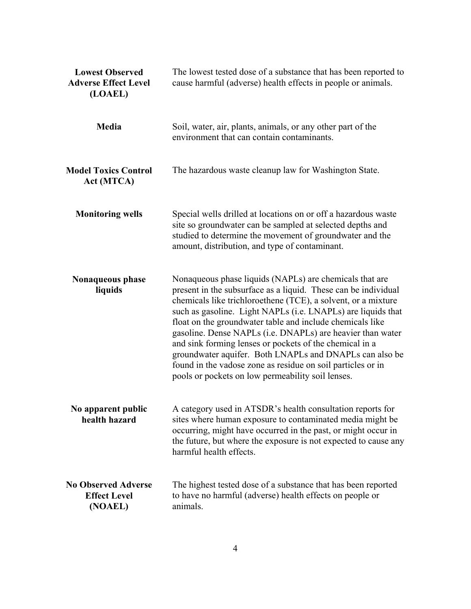| <b>Lowest Observed</b><br><b>Adverse Effect Level</b><br>(LOAEL) | The lowest tested dose of a substance that has been reported to<br>cause harmful (adverse) health effects in people or animals.                                                                                                                                                                                                                                                                                                                                                                                                                                                                                                 |
|------------------------------------------------------------------|---------------------------------------------------------------------------------------------------------------------------------------------------------------------------------------------------------------------------------------------------------------------------------------------------------------------------------------------------------------------------------------------------------------------------------------------------------------------------------------------------------------------------------------------------------------------------------------------------------------------------------|
| <b>Media</b>                                                     | Soil, water, air, plants, animals, or any other part of the<br>environment that can contain contaminants.                                                                                                                                                                                                                                                                                                                                                                                                                                                                                                                       |
| <b>Model Toxics Control</b><br>Act (MTCA)                        | The hazardous waste cleanup law for Washington State.                                                                                                                                                                                                                                                                                                                                                                                                                                                                                                                                                                           |
| <b>Monitoring wells</b>                                          | Special wells drilled at locations on or off a hazardous waste<br>site so groundwater can be sampled at selected depths and<br>studied to determine the movement of groundwater and the<br>amount, distribution, and type of contaminant.                                                                                                                                                                                                                                                                                                                                                                                       |
| Nonaqueous phase<br>liquids                                      | Nonaqueous phase liquids (NAPLs) are chemicals that are<br>present in the subsurface as a liquid. These can be individual<br>chemicals like trichloroethene (TCE), a solvent, or a mixture<br>such as gasoline. Light NAPLs (i.e. LNAPLs) are liquids that<br>float on the groundwater table and include chemicals like<br>gasoline. Dense NAPLs (i.e. DNAPLs) are heavier than water<br>and sink forming lenses or pockets of the chemical in a<br>groundwater aquifer. Both LNAPLs and DNAPLs can also be<br>found in the vadose zone as residue on soil particles or in<br>pools or pockets on low permeability soil lenses. |
| No apparent public<br>health hazard                              | A category used in ATSDR's health consultation reports for<br>sites where human exposure to contaminated media might be<br>occurring, might have occurred in the past, or might occur in<br>the future, but where the exposure is not expected to cause any<br>harmful health effects.                                                                                                                                                                                                                                                                                                                                          |
| <b>No Observed Adverse</b><br><b>Effect Level</b><br>(NOAEL)     | The highest tested dose of a substance that has been reported<br>to have no harmful (adverse) health effects on people or<br>animals.                                                                                                                                                                                                                                                                                                                                                                                                                                                                                           |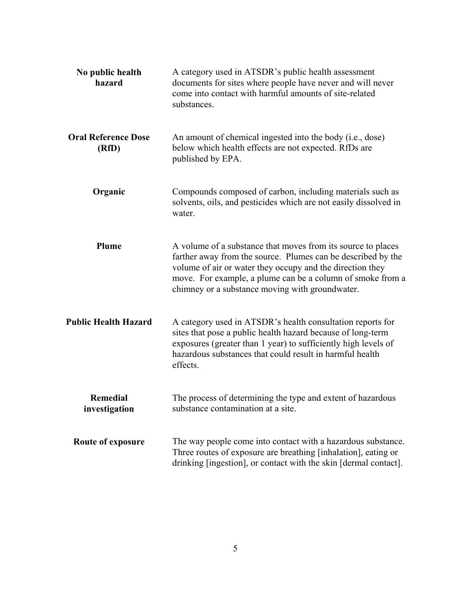| No public health<br>hazard          | A category used in ATSDR's public health assessment<br>documents for sites where people have never and will never<br>come into contact with harmful amounts of site-related<br>substances.                                                                                                                 |
|-------------------------------------|------------------------------------------------------------------------------------------------------------------------------------------------------------------------------------------------------------------------------------------------------------------------------------------------------------|
| <b>Oral Reference Dose</b><br>(RfD) | An amount of chemical ingested into the body (i.e., dose)<br>below which health effects are not expected. RfDs are<br>published by EPA.                                                                                                                                                                    |
| Organic                             | Compounds composed of carbon, including materials such as<br>solvents, oils, and pesticides which are not easily dissolved in<br>water.                                                                                                                                                                    |
| Plume                               | A volume of a substance that moves from its source to places<br>farther away from the source. Plumes can be described by the<br>volume of air or water they occupy and the direction they<br>move. For example, a plume can be a column of smoke from a<br>chimney or a substance moving with groundwater. |
| <b>Public Health Hazard</b>         | A category used in ATSDR's health consultation reports for<br>sites that pose a public health hazard because of long-term<br>exposures (greater than 1 year) to sufficiently high levels of<br>hazardous substances that could result in harmful health<br>effects.                                        |
| <b>Remedial</b><br>investigation    | The process of determining the type and extent of hazardous<br>substance contamination at a site.                                                                                                                                                                                                          |
| Route of exposure                   | The way people come into contact with a hazardous substance.<br>Three routes of exposure are breathing [inhalation], eating or<br>drinking [ingestion], or contact with the skin [dermal contact].                                                                                                         |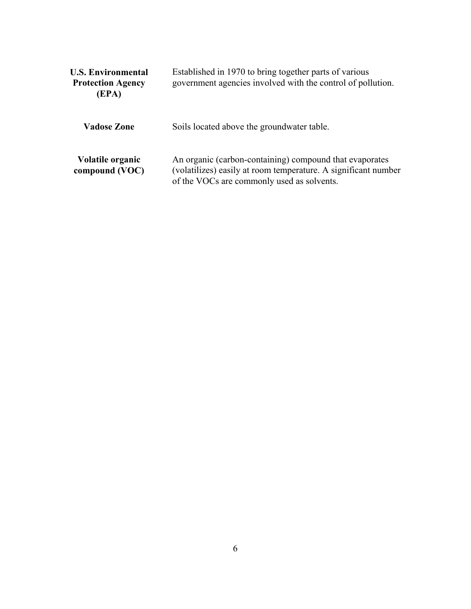| <b>U.S. Environmental</b><br><b>Protection Agency</b><br>(EPA) | Established in 1970 to bring together parts of various<br>government agencies involved with the control of pollution.                                                   |  |  |
|----------------------------------------------------------------|-------------------------------------------------------------------------------------------------------------------------------------------------------------------------|--|--|
| <b>Vadose Zone</b>                                             | Soils located above the groundwater table.                                                                                                                              |  |  |
| <b>Volatile organic</b><br>compound (VOC)                      | An organic (carbon-containing) compound that evaporates<br>(volatilizes) easily at room temperature. A significant number<br>of the VOCs are commonly used as solvents. |  |  |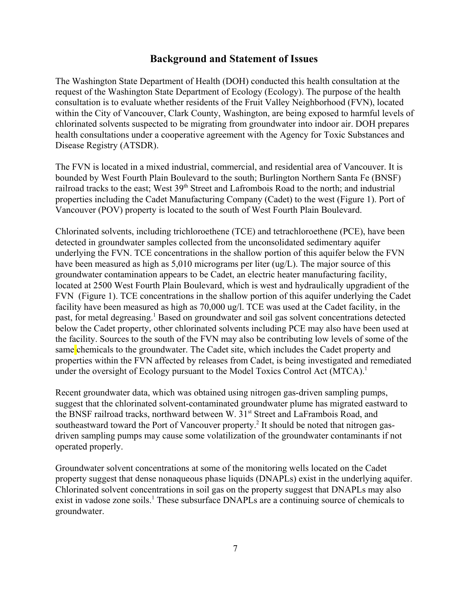#### **Background and Statement of Issues**

The Washington State Department of Health (DOH) conducted this health consultation at the request of the Washington State Department of Ecology (Ecology). The purpose of the health consultation is to evaluate whether residents of the Fruit Valley Neighborhood (FVN), located within the City of Vancouver, Clark County, Washington, are being exposed to harmful levels of chlorinated solvents suspected to be migrating from groundwater into indoor air. DOH prepares health consultations under a cooperative agreement with the Agency for Toxic Substances and Disease Registry (ATSDR).

The FVN is located in a mixed industrial, commercial, and residential area of Vancouver. It is bounded by West Fourth Plain Boulevard to the south; Burlington Northern Santa Fe (BNSF) railroad tracks to the east; West 39<sup>th</sup> Street and Lafrombois Road to the north; and industrial properties including the Cadet Manufacturing Company (Cadet) to the west (Figure 1). Port of Vancouver (POV) property is located to the south of West Fourth Plain Boulevard.

Chlorinated solvents, including trichloroethene (TCE) and tetrachloroethene (PCE), have been detected in groundwater samples collected from the unconsolidated sedimentary aquifer underlying the FVN. TCE concentrations in the shallow portion of this aquifer below the FVN have been measured as high as 5,010 micrograms per liter (ug/L). The major source of this groundwater contamination appears to be Cadet, an electric heater manufacturing facility, located at 2500 West Fourth Plain Boulevard, which is west and hydraulically upgradient of the FVN (Figure 1). TCE concentrations in the shallow portion of this aquifer underlying the Cadet facility have been measured as high as 70,000 ug/l. TCE was used at the Cadet facility, in the past, for metal degreasing.<sup>1</sup> Based on groundwater and soil gas solvent concentrations detected below the Cadet property, other chlorinated solvents including PCE may also have been used at the facility. Sources to the south of the FVN may also be contributing low levels of some of the same chemicals to the groundwater. The Cadet site, which includes the Cadet property and properties within the FVN affected by releases from Cadet, is being investigated and remediated under the oversight of Ecology pursuant to the Model Toxics Control Act (MTCA).<sup>1</sup>

Recent groundwater data, which was obtained using nitrogen gas-driven sampling pumps, suggest that the chlorinated solvent-contaminated groundwater plume has migrated eastward to the BNSF railroad tracks, northward between W. 31<sup>st</sup> Street and LaFrambois Road, and southeastward toward the Port of Vancouver property.<sup>2</sup> It should be noted that nitrogen gasdriven sampling pumps may cause some volatilization of the groundwater contaminants if not operated properly.

Groundwater solvent concentrations at some of the monitoring wells located on the Cadet property suggest that dense nonaqueous phase liquids (DNAPLs) exist in the underlying aquifer. Chlorinated solvent concentrations in soil gas on the property suggest that DNAPLs may also exist in vadose zone soils.<sup>1</sup> These subsurface DNAPLs are a continuing source of chemicals to groundwater.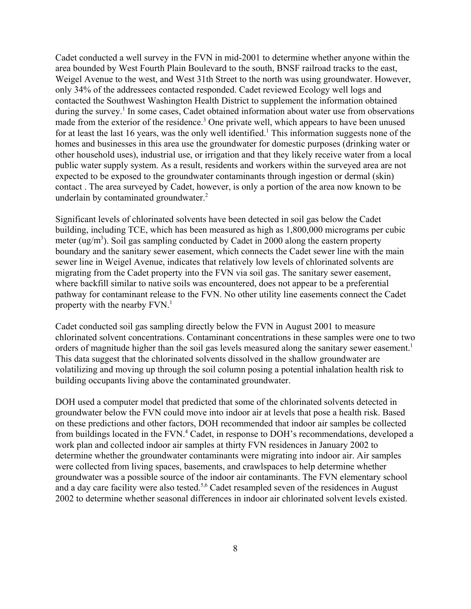Cadet conducted a well survey in the FVN in mid-2001 to determine whether anyone within the area bounded by West Fourth Plain Boulevard to the south, BNSF railroad tracks to the east, Weigel Avenue to the west, and West 31th Street to the north was using groundwater. However, only 34% of the addressees contacted responded. Cadet reviewed Ecology well logs and contacted the Southwest Washington Health District to supplement the information obtained during the survey.<sup>1</sup> In some cases, Cadet obtained information about water use from observations made from the exterior of the residence.<sup>3</sup> One private well, which appears to have been unused for at least the last 16 years, was the only well identified.<sup>1</sup> This information suggests none of the homes and businesses in this area use the groundwater for domestic purposes (drinking water or other household uses), industrial use, or irrigation and that they likely receive water from a local public water supply system. As a result, residents and workers within the surveyed area are not expected to be exposed to the groundwater contaminants through ingestion or dermal (skin) contact . The area surveyed by Cadet, however, is only a portion of the area now known to be underlain by contaminated groundwater.<sup>2</sup>

Significant levels of chlorinated solvents have been detected in soil gas below the Cadet building, including TCE, which has been measured as high as 1,800,000 micrograms per cubic meter ( $\text{ug/m}^3$ ). Soil gas sampling conducted by Cadet in 2000 along the eastern property boundary and the sanitary sewer easement, which connects the Cadet sewer line with the main sewer line in Weigel Avenue, indicates that relatively low levels of chlorinated solvents are migrating from the Cadet property into the FVN via soil gas. The sanitary sewer easement, where backfill similar to native soils was encountered, does not appear to be a preferential pathway for contaminant release to the FVN. No other utility line easements connect the Cadet property with the nearby  $FVN<sup>1</sup>$ 

Cadet conducted soil gas sampling directly below the FVN in August 2001 to measure chlorinated solvent concentrations. Contaminant concentrations in these samples were one to two orders of magnitude higher than the soil gas levels measured along the sanitary sewer easement.<sup>1</sup> This data suggest that the chlorinated solvents dissolved in the shallow groundwater are volatilizing and moving up through the soil column posing a potential inhalation health risk to building occupants living above the contaminated groundwater.

DOH used a computer model that predicted that some of the chlorinated solvents detected in groundwater below the FVN could move into indoor air at levels that pose a health risk. Based on these predictions and other factors, DOH recommended that indoor air samples be collected from buildings located in the FVN.<sup>4</sup> Cadet, in response to DOH's recommendations, developed a work plan and collected indoor air samples at thirty FVN residences in January 2002 to determine whether the groundwater contaminants were migrating into indoor air. Air samples were collected from living spaces, basements, and crawlspaces to help determine whether groundwater was a possible source of the indoor air contaminants. The FVN elementary school and a day care facility were also tested.<sup>5,6</sup> Cadet resampled seven of the residences in August 2002 to determine whether seasonal differences in indoor air chlorinated solvent levels existed.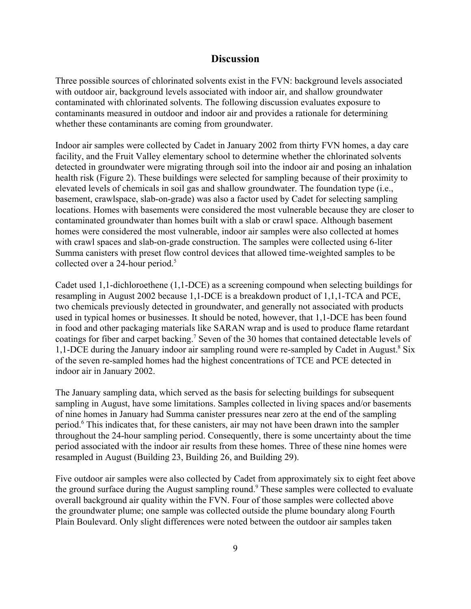### **Discussion**

Three possible sources of chlorinated solvents exist in the FVN: background levels associated with outdoor air, background levels associated with indoor air, and shallow groundwater contaminated with chlorinated solvents. The following discussion evaluates exposure to contaminants measured in outdoor and indoor air and provides a rationale for determining whether these contaminants are coming from groundwater.

Indoor air samples were collected by Cadet in January 2002 from thirty FVN homes, a day care facility, and the Fruit Valley elementary school to determine whether the chlorinated solvents detected in groundwater were migrating through soil into the indoor air and posing an inhalation health risk (Figure 2). These buildings were selected for sampling because of their proximity to elevated levels of chemicals in soil gas and shallow groundwater. The foundation type (i.e., basement, crawlspace, slab-on-grade) was also a factor used by Cadet for selecting sampling locations. Homes with basements were considered the most vulnerable because they are closer to contaminated groundwater than homes built with a slab or crawl space. Although basement homes were considered the most vulnerable, indoor air samples were also collected at homes with crawl spaces and slab-on-grade construction. The samples were collected using 6-liter Summa canisters with preset flow control devices that allowed time-weighted samples to be collected over a 24-hour period.<sup>5</sup>

Cadet used 1,1-dichloroethene (1,1-DCE) as a screening compound when selecting buildings for resampling in August 2002 because 1,1-DCE is a breakdown product of 1,1,1-TCA and PCE, two chemicals previously detected in groundwater, and generally not associated with products used in typical homes or businesses. It should be noted, however, that 1,1-DCE has been found in food and other packaging materials like SARAN wrap and is used to produce flame retardant coatings for fiber and carpet backing.<sup>7</sup> Seven of the 30 homes that contained detectable levels of 1,1-DCE during the January indoor air sampling round were re-sampled by Cadet in August.<sup>8</sup> Six of the seven re-sampled homes had the highest concentrations of TCE and PCE detected in indoor air in January 2002.

The January sampling data, which served as the basis for selecting buildings for subsequent sampling in August, have some limitations. Samples collected in living spaces and/or basements of nine homes in January had Summa canister pressures near zero at the end of the sampling period.<sup>6</sup> This indicates that, for these canisters, air may not have been drawn into the sampler throughout the 24-hour sampling period. Consequently, there is some uncertainty about the time period associated with the indoor air results from these homes. Three of these nine homes were resampled in August (Building 23, Building 26, and Building 29).

Five outdoor air samples were also collected by Cadet from approximately six to eight feet above the ground surface during the August sampling round.<sup>9</sup> These samples were collected to evaluate overall background air quality within the FVN. Four of those samples were collected above the groundwater plume; one sample was collected outside the plume boundary along Fourth Plain Boulevard. Only slight differences were noted between the outdoor air samples taken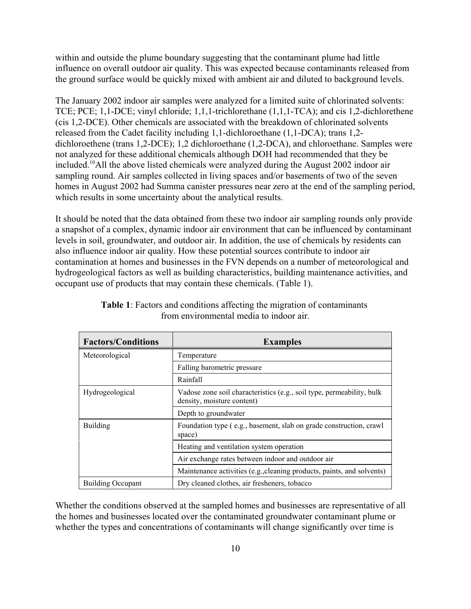within and outside the plume boundary suggesting that the contaminant plume had little influence on overall outdoor air quality. This was expected because contaminants released from the ground surface would be quickly mixed with ambient air and diluted to background levels.

The January 2002 indoor air samples were analyzed for a limited suite of chlorinated solvents: TCE; PCE; 1,1-DCE; vinyl chloride; 1,1,1-trichlorethane (1,1,1-TCA); and cis 1,2-dichlorethene (cis 1,2-DCE). Other chemicals are associated with the breakdown of chlorinated solvents released from the Cadet facility including 1,1-dichloroethane (1,1-DCA); trans 1,2 dichloroethene (trans 1,2-DCE); 1,2 dichloroethane (1,2-DCA), and chloroethane. Samples were not analyzed for these additional chemicals although DOH had recommended that they be included.10All the above listed chemicals were analyzed during the August 2002 indoor air sampling round. Air samples collected in living spaces and/or basements of two of the seven homes in August 2002 had Summa canister pressures near zero at the end of the sampling period, which results in some uncertainty about the analytical results.

It should be noted that the data obtained from these two indoor air sampling rounds only provide a snapshot of a complex, dynamic indoor air environment that can be influenced by contaminant levels in soil, groundwater, and outdoor air. In addition, the use of chemicals by residents can also influence indoor air quality. How these potential sources contribute to indoor air contamination at homes and businesses in the FVN depends on a number of meteorological and hydrogeological factors as well as building characteristics, building maintenance activities, and occupant use of products that may contain these chemicals. (Table 1).

| <b>Factors/Conditions</b> | <b>Examples</b>                                                                                     |  |  |  |  |  |  |  |
|---------------------------|-----------------------------------------------------------------------------------------------------|--|--|--|--|--|--|--|
| Meteorological            | Temperature                                                                                         |  |  |  |  |  |  |  |
|                           | Falling barometric pressure                                                                         |  |  |  |  |  |  |  |
|                           | Rainfall                                                                                            |  |  |  |  |  |  |  |
| Hydrogeological           | Vadose zone soil characteristics (e.g., soil type, permeability, bulk<br>density, moisture content) |  |  |  |  |  |  |  |
|                           | Depth to groundwater                                                                                |  |  |  |  |  |  |  |
| <b>Building</b>           | Foundation type (e.g., basement, slab on grade construction, crawl<br>space)                        |  |  |  |  |  |  |  |
|                           | Heating and ventilation system operation                                                            |  |  |  |  |  |  |  |
|                           | Air exchange rates between indoor and outdoor air                                                   |  |  |  |  |  |  |  |
|                           | Maintenance activities (e.g., cleaning products, paints, and solvents)                              |  |  |  |  |  |  |  |
| <b>Building Occupant</b>  | Dry cleaned clothes, air fresheners, tobacco                                                        |  |  |  |  |  |  |  |

**Table 1**: Factors and conditions affecting the migration of contaminants from environmental media to indoor air.

Whether the conditions observed at the sampled homes and businesses are representative of all the homes and businesses located over the contaminated groundwater contaminant plume or whether the types and concentrations of contaminants will change significantly over time is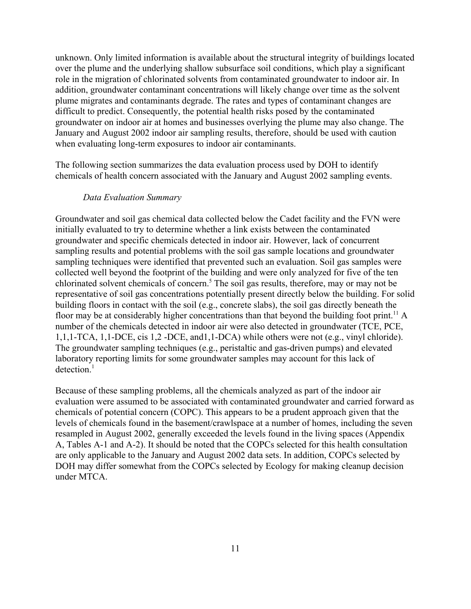unknown. Only limited information is available about the structural integrity of buildings located over the plume and the underlying shallow subsurface soil conditions, which play a significant role in the migration of chlorinated solvents from contaminated groundwater to indoor air. In addition, groundwater contaminant concentrations will likely change over time as the solvent plume migrates and contaminants degrade. The rates and types of contaminant changes are difficult to predict. Consequently, the potential health risks posed by the contaminated groundwater on indoor air at homes and businesses overlying the plume may also change. The January and August 2002 indoor air sampling results, therefore, should be used with caution when evaluating long-term exposures to indoor air contaminants.

The following section summarizes the data evaluation process used by DOH to identify chemicals of health concern associated with the January and August 2002 sampling events.

#### *Data Evaluation Summary*

Groundwater and soil gas chemical data collected below the Cadet facility and the FVN were initially evaluated to try to determine whether a link exists between the contaminated groundwater and specific chemicals detected in indoor air. However, lack of concurrent sampling results and potential problems with the soil gas sample locations and groundwater sampling techniques were identified that prevented such an evaluation. Soil gas samples were collected well beyond the footprint of the building and were only analyzed for five of the ten chlorinated solvent chemicals of concern.<sup>5</sup> The soil gas results, therefore, may or may not be representative of soil gas concentrations potentially present directly below the building. For solid building floors in contact with the soil (e.g., concrete slabs), the soil gas directly beneath the floor may be at considerably higher concentrations than that beyond the building foot print.<sup>11</sup> A number of the chemicals detected in indoor air were also detected in groundwater (TCE, PCE, 1,1,1-TCA, 1,1-DCE, cis 1,2 -DCE, and1,1-DCA) while others were not (e.g., vinyl chloride). The groundwater sampling techniques (e.g., peristaltic and gas-driven pumps) and elevated laboratory reporting limits for some groundwater samples may account for this lack of  $detection<sup>1</sup>$ 

Because of these sampling problems, all the chemicals analyzed as part of the indoor air evaluation were assumed to be associated with contaminated groundwater and carried forward as chemicals of potential concern (COPC). This appears to be a prudent approach given that the levels of chemicals found in the basement/crawlspace at a number of homes, including the seven resampled in August 2002, generally exceeded the levels found in the living spaces (Appendix A, Tables A-1 and A-2). It should be noted that the COPCs selected for this health consultation are only applicable to the January and August 2002 data sets. In addition, COPCs selected by DOH may differ somewhat from the COPCs selected by Ecology for making cleanup decision under MTCA.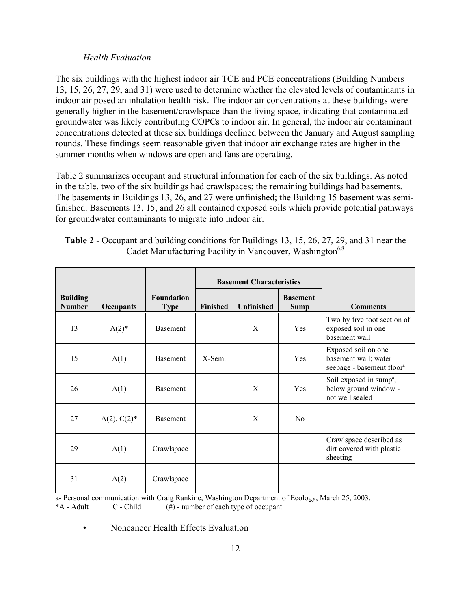#### *Health Evaluation*

The six buildings with the highest indoor air TCE and PCE concentrations (Building Numbers 13, 15, 26, 27, 29, and 31) were used to determine whether the elevated levels of contaminants in indoor air posed an inhalation health risk. The indoor air concentrations at these buildings were generally higher in the basement/crawlspace than the living space, indicating that contaminated groundwater was likely contributing COPCs to indoor air. In general, the indoor air contaminant concentrations detected at these six buildings declined between the January and August sampling rounds. These findings seem reasonable given that indoor air exchange rates are higher in the summer months when windows are open and fans are operating.

Table 2 summarizes occupant and structural information for each of the six buildings. As noted in the table, two of the six buildings had crawlspaces; the remaining buildings had basements. The basements in Buildings 13, 26, and 27 were unfinished; the Building 15 basement was semifinished. Basements 13, 15, and 26 all contained exposed soils which provide potential pathways for groundwater contaminants to migrate into indoor air.

| <b>Table 2 - Occupant and building conditions for Buildings 13, 15, 26, 27, 29, and 31 near the</b> |  |
|-----------------------------------------------------------------------------------------------------|--|
| Cadet Manufacturing Facility in Vancouver, Washington <sup>6,8</sup>                                |  |

|                                  |                |                                  |                 | <b>Basement Characteristics</b> |                                |                                                                                      |
|----------------------------------|----------------|----------------------------------|-----------------|---------------------------------|--------------------------------|--------------------------------------------------------------------------------------|
| <b>Building</b><br><b>Number</b> | Occupants      | <b>Foundation</b><br><b>Type</b> | <b>Finished</b> | <b>Unfinished</b>               | <b>Basement</b><br><b>Sump</b> | <b>Comments</b>                                                                      |
| 13                               | $A(2)^*$       | <b>Basement</b>                  |                 | X                               | <b>Yes</b>                     | Two by five foot section of<br>exposed soil in one<br>basement wall                  |
| 15                               | A(1)           | <b>Basement</b>                  | X-Semi          |                                 | <b>Yes</b>                     | Exposed soil on one<br>basement wall; water<br>seepage - basement floor <sup>a</sup> |
| 26                               | A(1)           | <b>Basement</b>                  |                 | X                               | Yes                            | Soil exposed in sump <sup>a</sup> ;<br>below ground window -<br>not well sealed      |
| 27                               | $A(2), C(2)^*$ | <b>Basement</b>                  |                 | X                               | N <sub>0</sub>                 |                                                                                      |
| 29                               | A(1)           | Crawlspace                       |                 |                                 |                                | Crawlspace described as<br>dirt covered with plastic<br>sheeting                     |
| 31                               | A(2)           | Crawlspace                       |                 |                                 |                                |                                                                                      |

a- Personal communication with Craig Rankine, Washington Department of Ecology, March 25, 2003.  $*A$  - Adult  $C$  - Child  $(\#)$  - number of each type of occupant

• Noncancer Health Effects Evaluation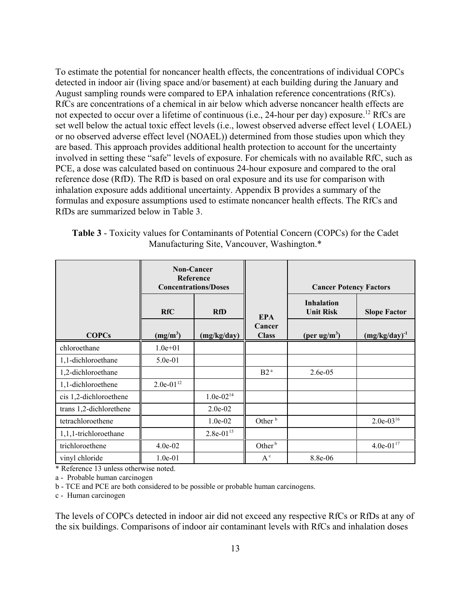To estimate the potential for noncancer health effects, the concentrations of individual COPCs detected in indoor air (living space and/or basement) at each building during the January and August sampling rounds were compared to EPA inhalation reference concentrations (RfCs). RfCs are concentrations of a chemical in air below which adverse noncancer health effects are not expected to occur over a lifetime of continuous (i.e., 24-hour per day) exposure.<sup>12</sup> RfCs are set well below the actual toxic effect levels (i.e., lowest observed adverse effect level ( LOAEL) or no observed adverse effect level (NOAEL)) determined from those studies upon which they are based. This approach provides additional health protection to account for the uncertainty involved in setting these "safe" levels of exposure. For chemicals with no available RfC, such as PCE, a dose was calculated based on continuous 24-hour exposure and compared to the oral reference dose (RfD). The RfD is based on oral exposure and its use for comparison with inhalation exposure adds additional uncertainty. Appendix B provides a summary of the formulas and exposure assumptions used to estimate noncancer health effects. The RfCs and RfDs are summarized below in Table 3.

**Table 3** - Toxicity values for Contaminants of Potential Concern (COPCs) for the Cadet Manufacturing Site, Vancouver, Washington.\*

|                         | <b>Non-Cancer</b><br>Reference<br><b>Concentrations/Doses</b> |                |                        | <b>Cancer Potency Factors</b>         |                     |
|-------------------------|---------------------------------------------------------------|----------------|------------------------|---------------------------------------|---------------------|
|                         | <b>RfC</b>                                                    | <b>RfD</b>     | <b>EPA</b>             | <b>Inhalation</b><br><b>Unit Risk</b> | <b>Slope Factor</b> |
| <b>COPCs</b>            | $(mg/m^3)$                                                    | (mg/kg/day)    | Cancer<br><b>Class</b> | (per ug/m <sup>3</sup> )              | $(mg/kg/day)^{-1}$  |
| chloroethane            | $1.0e + 01$                                                   |                |                        |                                       |                     |
| 1,1-dichloroethane      | 5.0e-01                                                       |                |                        |                                       |                     |
| 1,2-dichloroethane      |                                                               |                | B2 <sup>a</sup>        | $2.6e-0.5$                            |                     |
| 1,1-dichloroethene      | $2.0e-01^{12}$                                                |                |                        |                                       |                     |
| cis 1,2-dichloroethene  |                                                               | $1.0e-02^{14}$ |                        |                                       |                     |
| trans 1,2-dichlorethene |                                                               | $2.0e-02$      |                        |                                       |                     |
| tetrachloroethene       |                                                               | $1.0e-02$      | Other <sup>b</sup>     |                                       | $2.0e-03^{16}$      |
| 1,1,1-trichloroethane   |                                                               | $2.8e-01^{15}$ |                        |                                       |                     |
| trichloroethene         | 4.0e-02                                                       |                | Other <sup>b</sup>     |                                       | $4.0e-01^{17}$      |
| vinyl chloride          | $1.0e-01$                                                     |                | $A^c$                  | 8.8e-06                               |                     |

\* Reference 13 unless otherwise noted.

a - Probable human carcinogen

b - TCE and PCE are both considered to be possible or probable human carcinogens.

c - Human carcinogen

The levels of COPCs detected in indoor air did not exceed any respective RfCs or RfDs at any of the six buildings. Comparisons of indoor air contaminant levels with RfCs and inhalation doses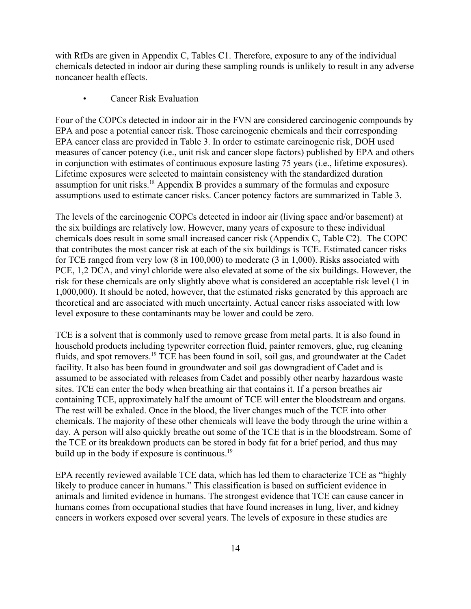with RfDs are given in Appendix C, Tables C1. Therefore, exposure to any of the individual chemicals detected in indoor air during these sampling rounds is unlikely to result in any adverse noncancer health effects.

Cancer Risk Evaluation

Four of the COPCs detected in indoor air in the FVN are considered carcinogenic compounds by EPA and pose a potential cancer risk. Those carcinogenic chemicals and their corresponding EPA cancer class are provided in Table 3. In order to estimate carcinogenic risk, DOH used measures of cancer potency (i.e., unit risk and cancer slope factors) published by EPA and others in conjunction with estimates of continuous exposure lasting 75 years (i.e., lifetime exposures). Lifetime exposures were selected to maintain consistency with the standardized duration assumption for unit risks.18 Appendix B provides a summary of the formulas and exposure assumptions used to estimate cancer risks. Cancer potency factors are summarized in Table 3.

The levels of the carcinogenic COPCs detected in indoor air (living space and/or basement) at the six buildings are relatively low. However, many years of exposure to these individual chemicals does result in some small increased cancer risk (Appendix C, Table C2). The COPC that contributes the most cancer risk at each of the six buildings is TCE. Estimated cancer risks for TCE ranged from very low (8 in 100,000) to moderate (3 in 1,000). Risks associated with PCE, 1,2 DCA, and vinyl chloride were also elevated at some of the six buildings. However, the risk for these chemicals are only slightly above what is considered an acceptable risk level (1 in 1,000,000). It should be noted, however, that the estimated risks generated by this approach are theoretical and are associated with much uncertainty. Actual cancer risks associated with low level exposure to these contaminants may be lower and could be zero.

TCE is a solvent that is commonly used to remove grease from metal parts. It is also found in household products including typewriter correction fluid, painter removers, glue, rug cleaning fluids, and spot removers.19 TCE has been found in soil, soil gas, and groundwater at the Cadet facility. It also has been found in groundwater and soil gas downgradient of Cadet and is assumed to be associated with releases from Cadet and possibly other nearby hazardous waste sites. TCE can enter the body when breathing air that contains it. If a person breathes air containing TCE, approximately half the amount of TCE will enter the bloodstream and organs. The rest will be exhaled. Once in the blood, the liver changes much of the TCE into other chemicals. The majority of these other chemicals will leave the body through the urine within a day. A person will also quickly breathe out some of the TCE that is in the bloodstream. Some of the TCE or its breakdown products can be stored in body fat for a brief period, and thus may build up in the body if exposure is continuous. $19$ 

EPA recently reviewed available TCE data, which has led them to characterize TCE as "highly likely to produce cancer in humans." This classification is based on sufficient evidence in animals and limited evidence in humans. The strongest evidence that TCE can cause cancer in humans comes from occupational studies that have found increases in lung, liver, and kidney cancers in workers exposed over several years. The levels of exposure in these studies are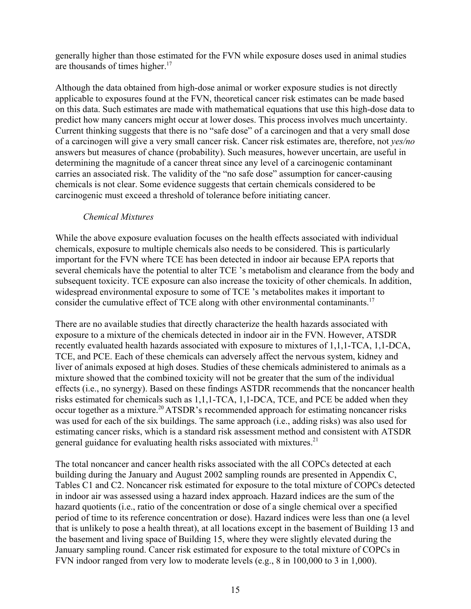generally higher than those estimated for the FVN while exposure doses used in animal studies are thousands of times higher. $17$ 

Although the data obtained from high-dose animal or worker exposure studies is not directly applicable to exposures found at the FVN, theoretical cancer risk estimates can be made based on this data. Such estimates are made with mathematical equations that use this high-dose data to predict how many cancers might occur at lower doses. This process involves much uncertainty. Current thinking suggests that there is no "safe dose" of a carcinogen and that a very small dose of a carcinogen will give a very small cancer risk. Cancer risk estimates are, therefore, not *yes/no* answers but measures of chance (probability). Such measures, however uncertain, are useful in determining the magnitude of a cancer threat since any level of a carcinogenic contaminant carries an associated risk. The validity of the "no safe dose" assumption for cancer-causing chemicals is not clear. Some evidence suggests that certain chemicals considered to be carcinogenic must exceed a threshold of tolerance before initiating cancer.

#### *Chemical Mixtures*

While the above exposure evaluation focuses on the health effects associated with individual chemicals, exposure to multiple chemicals also needs to be considered. This is particularly important for the FVN where TCE has been detected in indoor air because EPA reports that several chemicals have the potential to alter TCE 's metabolism and clearance from the body and subsequent toxicity. TCE exposure can also increase the toxicity of other chemicals. In addition, widespread environmental exposure to some of TCE 's metabolites makes it important to consider the cumulative effect of TCE along with other environmental contaminants.<sup>17</sup>

There are no available studies that directly characterize the health hazards associated with exposure to a mixture of the chemicals detected in indoor air in the FVN. However, ATSDR recently evaluated health hazards associated with exposure to mixtures of 1,1,1-TCA, 1,1-DCA, TCE, and PCE. Each of these chemicals can adversely affect the nervous system, kidney and liver of animals exposed at high doses. Studies of these chemicals administered to animals as a mixture showed that the combined toxicity will not be greater that the sum of the individual effects (i.e., no synergy). Based on these findings ASTDR recommends that the noncancer health risks estimated for chemicals such as 1,1,1-TCA, 1,1-DCA, TCE, and PCE be added when they occur together as a mixture.20 ATSDR's recommended approach for estimating noncancer risks was used for each of the six buildings. The same approach (i.e., adding risks) was also used for estimating cancer risks, which is a standard risk assessment method and consistent with ATSDR general guidance for evaluating health risks associated with mixtures.<sup>21</sup>

The total noncancer and cancer health risks associated with the all COPCs detected at each building during the January and August 2002 sampling rounds are presented in Appendix C, Tables C1 and C2. Noncancer risk estimated for exposure to the total mixture of COPCs detected in indoor air was assessed using a hazard index approach. Hazard indices are the sum of the hazard quotients (i.e., ratio of the concentration or dose of a single chemical over a specified period of time to its reference concentration or dose). Hazard indices were less than one (a level that is unlikely to pose a health threat), at all locations except in the basement of Building 13 and the basement and living space of Building 15, where they were slightly elevated during the January sampling round. Cancer risk estimated for exposure to the total mixture of COPCs in FVN indoor ranged from very low to moderate levels (e.g., 8 in 100,000 to 3 in 1,000).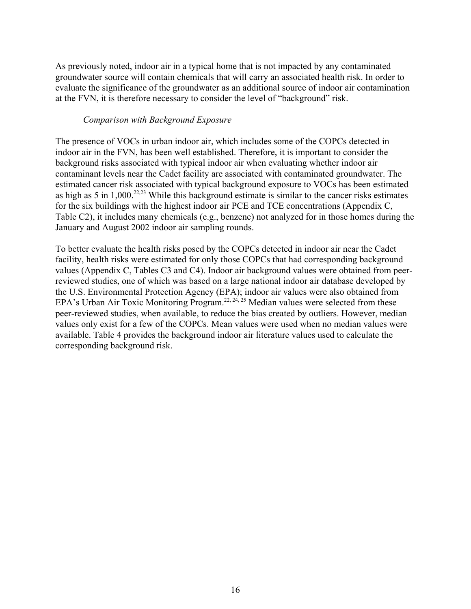As previously noted, indoor air in a typical home that is not impacted by any contaminated groundwater source will contain chemicals that will carry an associated health risk. In order to evaluate the significance of the groundwater as an additional source of indoor air contamination at the FVN, it is therefore necessary to consider the level of "background" risk.

#### *Comparison with Background Exposure*

The presence of VOCs in urban indoor air, which includes some of the COPCs detected in indoor air in the FVN, has been well established. Therefore, it is important to consider the background risks associated with typical indoor air when evaluating whether indoor air contaminant levels near the Cadet facility are associated with contaminated groundwater. The estimated cancer risk associated with typical background exposure to VOCs has been estimated as high as 5 in  $1,000^{22,23}$  While this background estimate is similar to the cancer risks estimates for the six buildings with the highest indoor air PCE and TCE concentrations (Appendix C, Table C2), it includes many chemicals (e.g., benzene) not analyzed for in those homes during the January and August 2002 indoor air sampling rounds.

To better evaluate the health risks posed by the COPCs detected in indoor air near the Cadet facility, health risks were estimated for only those COPCs that had corresponding background values (Appendix C, Tables C3 and C4). Indoor air background values were obtained from peerreviewed studies, one of which was based on a large national indoor air database developed by the U.S. Environmental Protection Agency (EPA); indoor air values were also obtained from EPA's Urban Air Toxic Monitoring Program.<sup>22, 24, 25</sup> Median values were selected from these peer-reviewed studies, when available, to reduce the bias created by outliers. However, median values only exist for a few of the COPCs. Mean values were used when no median values were available. Table 4 provides the background indoor air literature values used to calculate the corresponding background risk.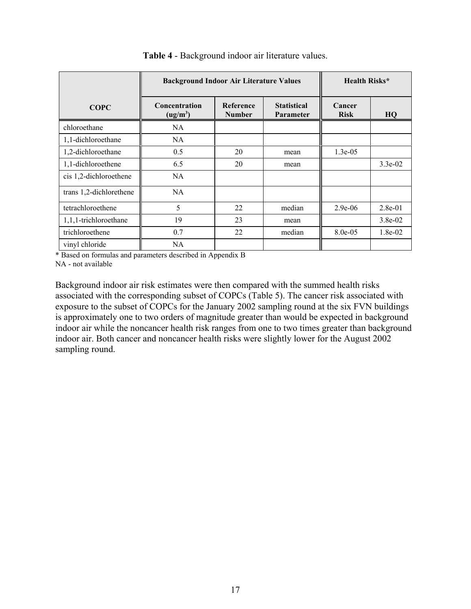|                         | <b>Background Indoor Air Literature Values</b> | <b>Health Risks*</b>  |        |            |           |
|-------------------------|------------------------------------------------|-----------------------|--------|------------|-----------|
| <b>COPC</b>             | Concentration<br>(ug/m <sup>3</sup> )          | Cancer<br><b>Risk</b> | HQ     |            |           |
| chloroethane            | NA.                                            |                       |        |            |           |
| 1,1-dichloroethane      | NA.                                            |                       |        |            |           |
| 1,2-dichloroethane      | 0.5                                            | 20                    | mean   | $1.3e-0.5$ |           |
| 1,1-dichloroethene      | 6.5                                            | 20                    | mean   |            | $3.3e-02$ |
| cis 1,2-dichloroethene  | NA.                                            |                       |        |            |           |
| trans 1,2-dichlorethene | <b>NA</b>                                      |                       |        |            |           |
| tetrachloroethene       | 5                                              | 22                    | median | 2.9e-06    | $2.8e-01$ |
| 1,1,1-trichloroethane   | 19                                             | 23                    | mean   |            | $3.8e-02$ |
| trichloroethene         | 0.7                                            | 22                    | median | 8.0e-05    | 1.8e-02   |
| vinyl chloride          | <b>NA</b>                                      |                       |        |            |           |

#### **Table 4** - Background indoor air literature values.

\* Based on formulas and parameters described in Appendix B

NA - not available

Background indoor air risk estimates were then compared with the summed health risks associated with the corresponding subset of COPCs (Table 5). The cancer risk associated with exposure to the subset of COPCs for the January 2002 sampling round at the six FVN buildings is approximately one to two orders of magnitude greater than would be expected in background indoor air while the noncancer health risk ranges from one to two times greater than background indoor air. Both cancer and noncancer health risks were slightly lower for the August 2002 sampling round.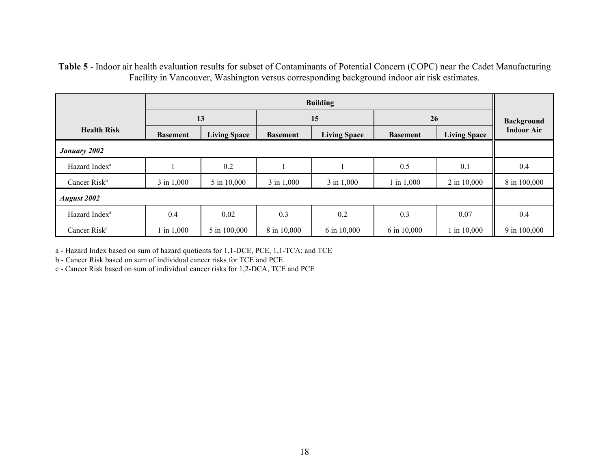**Table 5** - Indoor air health evaluation results for subset of Contaminants of Potential Concern (COPC) near the Cadet Manufacturing Facility in Vancouver, Washington versus corresponding background indoor air risk estimates.

|                           | <b>Building</b> |                     |                 |                     |             |                     |                   |
|---------------------------|-----------------|---------------------|-----------------|---------------------|-------------|---------------------|-------------------|
|                           |                 | 13                  |                 | 15                  | 26          | <b>Background</b>   |                   |
| <b>Health Risk</b>        | <b>Basement</b> | <b>Living Space</b> | <b>Basement</b> | <b>Living Space</b> |             | <b>Living Space</b> | <b>Indoor Air</b> |
| <b>January 2002</b>       |                 |                     |                 |                     |             |                     |                   |
| Hazard Index <sup>a</sup> |                 | 0.2                 |                 |                     | 0.5         | 0.1                 | 0.4               |
| Cancer Risk <sup>b</sup>  | 3 in 1,000      | 5 in 10,000         | 3 in 1,000      | 3 in 1,000          | 1 in 1,000  | 2 in 10,000         | 8 in 100,000      |
| <b>August 2002</b>        |                 |                     |                 |                     |             |                     |                   |
| Hazard Index <sup>a</sup> | 0.4             | 0.02                | 0.3             | 0.2                 | 0.3         | 0.07                | 0.4               |
| Cancer $Riskc$            | 1 in 1,000      | 5 in 100,000        | 8 in 10,000     | 6 in 10,000         | 6 in 10,000 | 1 in 10,000         | 9 in 100,000      |

a - Hazard Index based on sum of hazard quotients for 1,1-DCE, PCE, 1,1-TCA; and TCE

b - Cancer Risk based on sum of individual cancer risks for TCE and PCE

c - Cancer Risk based on sum of individual cancer risks for 1,2-DCA, TCE and PCE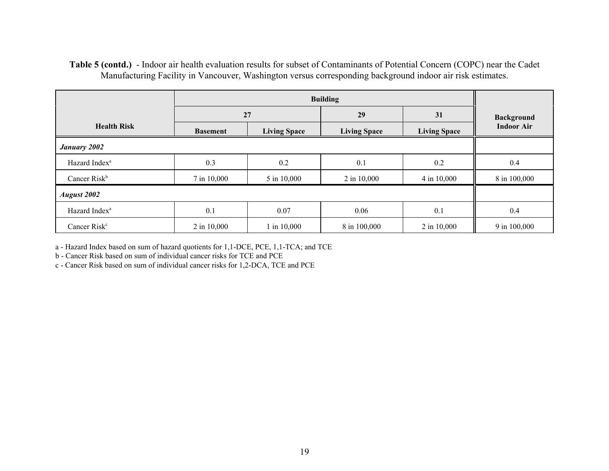#### **Table 5 (contd.)** - Indoor air health evaluation results for subset of Contaminants of Potential Concern (COPC) near the Cadet Manufacturing Facility in Vancouver, Washington versus corresponding background indoor air risk estimates.

|                           | 27              |                     | 29                  | 31                  | <b>Background</b> |
|---------------------------|-----------------|---------------------|---------------------|---------------------|-------------------|
| <b>Health Risk</b>        | <b>Basement</b> | <b>Living Space</b> | <b>Living Space</b> | <b>Living Space</b> | <b>Indoor Air</b> |
| <b>January 2002</b>       |                 |                     |                     |                     |                   |
| Hazard Index <sup>a</sup> | 0.3             | 0.2                 | 0.1                 | 0.2                 | 0.4               |
| Cancer $Risk^b$           | 7 in 10,000     | 5 in 10,000         | 2 in 10,000         | 4 in 10,000         | 8 in 100,000      |
| <b>August 2002</b>        |                 |                     |                     |                     |                   |
| Hazard Index <sup>a</sup> | 0.1             | 0.07                | 0.06                | 0.1                 | 0.4               |
| Cancer Risk <sup>c</sup>  | 2 in 10,000     | 1 in 10,000         | 8 in 100,000        | 2 in 10,000         | 9 in 100,000      |

a - Hazard Index based on sum of hazard quotients for 1,1-DCE, PCE, 1,1-TCA; and TCE

b - Cancer Risk based on sum of individual cancer risks for TCE and PCE

c - Cancer Risk based on sum of individual cancer risks for 1,2-DCA, TCE and PCE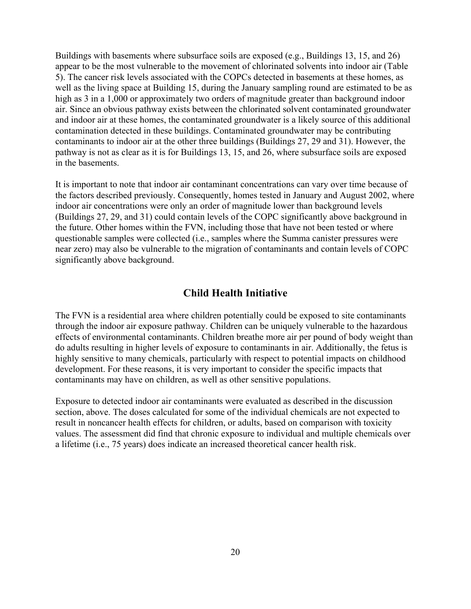Buildings with basements where subsurface soils are exposed (e.g., Buildings 13, 15, and 26) appear to be the most vulnerable to the movement of chlorinated solvents into indoor air (Table 5). The cancer risk levels associated with the COPCs detected in basements at these homes, as well as the living space at Building 15, during the January sampling round are estimated to be as high as 3 in a 1,000 or approximately two orders of magnitude greater than background indoor air. Since an obvious pathway exists between the chlorinated solvent contaminated groundwater and indoor air at these homes, the contaminated groundwater is a likely source of this additional contamination detected in these buildings. Contaminated groundwater may be contributing contaminants to indoor air at the other three buildings (Buildings 27, 29 and 31). However, the pathway is not as clear as it is for Buildings 13, 15, and 26, where subsurface soils are exposed in the basements.

It is important to note that indoor air contaminant concentrations can vary over time because of the factors described previously. Consequently, homes tested in January and August 2002, where indoor air concentrations were only an order of magnitude lower than background levels (Buildings 27, 29, and 31) could contain levels of the COPC significantly above background in the future. Other homes within the FVN, including those that have not been tested or where questionable samples were collected (i.e., samples where the Summa canister pressures were near zero) may also be vulnerable to the migration of contaminants and contain levels of COPC significantly above background.

## **Child Health Initiative**

The FVN is a residential area where children potentially could be exposed to site contaminants through the indoor air exposure pathway. Children can be uniquely vulnerable to the hazardous effects of environmental contaminants. Children breathe more air per pound of body weight than do adults resulting in higher levels of exposure to contaminants in air. Additionally, the fetus is highly sensitive to many chemicals, particularly with respect to potential impacts on childhood development. For these reasons, it is very important to consider the specific impacts that contaminants may have on children, as well as other sensitive populations.

Exposure to detected indoor air contaminants were evaluated as described in the discussion section, above. The doses calculated for some of the individual chemicals are not expected to result in noncancer health effects for children, or adults, based on comparison with toxicity values. The assessment did find that chronic exposure to individual and multiple chemicals over a lifetime (i.e., 75 years) does indicate an increased theoretical cancer health risk.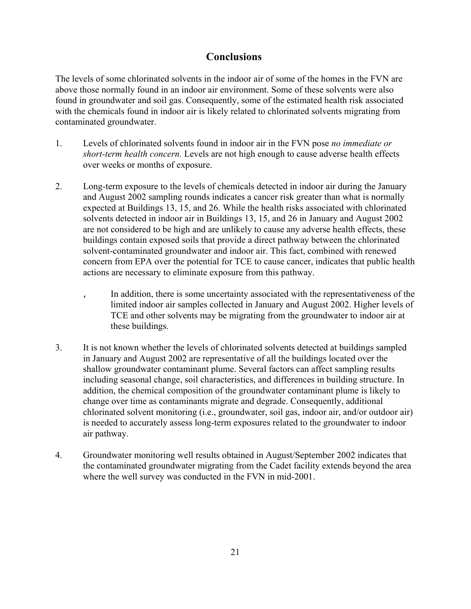## **Conclusions**

The levels of some chlorinated solvents in the indoor air of some of the homes in the FVN are above those normally found in an indoor air environment. Some of these solvents were also found in groundwater and soil gas. Consequently, some of the estimated health risk associated with the chemicals found in indoor air is likely related to chlorinated solvents migrating from contaminated groundwater.

- 1. Levels of chlorinated solvents found in indoor air in the FVN pose *no immediate or short-term health concern.* Levels are not high enough to cause adverse health effects over weeks or months of exposure.
- 2. Long-term exposure to the levels of chemicals detected in indoor air during the January and August 2002 sampling rounds indicates a cancer risk greater than what is normally expected at Buildings 13, 15, and 26. While the health risks associated with chlorinated solvents detected in indoor air in Buildings 13, 15, and 26 in January and August 2002 are not considered to be high and are unlikely to cause any adverse health effects, these buildings contain exposed soils that provide a direct pathway between the chlorinated solvent-contaminated groundwater and indoor air. This fact, combined with renewed concern from EPA over the potential for TCE to cause cancer, indicates that public health actions are necessary to eliminate exposure from this pathway.
	- In addition, there is some uncertainty associated with the representativeness of the limited indoor air samples collected in January and August 2002. Higher levels of TCE and other solvents may be migrating from the groundwater to indoor air at these buildings.
- 3. It is not known whether the levels of chlorinated solvents detected at buildings sampled in January and August 2002 are representative of all the buildings located over the shallow groundwater contaminant plume. Several factors can affect sampling results including seasonal change, soil characteristics, and differences in building structure. In addition, the chemical composition of the groundwater contaminant plume is likely to change over time as contaminants migrate and degrade. Consequently, additional chlorinated solvent monitoring (i.e., groundwater, soil gas, indoor air, and/or outdoor air) is needed to accurately assess long-term exposures related to the groundwater to indoor air pathway.
- 4. Groundwater monitoring well results obtained in August/September 2002 indicates that the contaminated groundwater migrating from the Cadet facility extends beyond the area where the well survey was conducted in the FVN in mid-2001.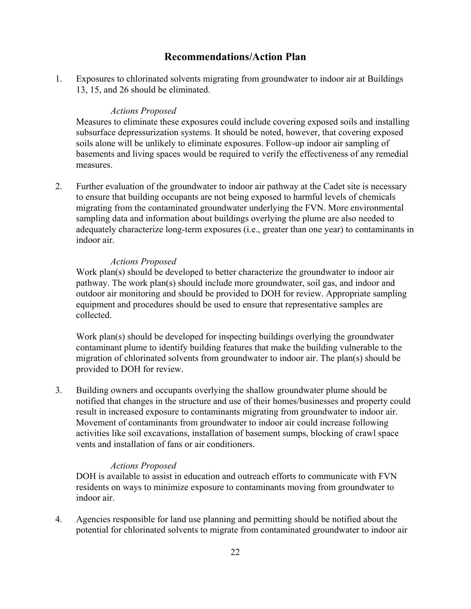## **Recommendations/Action Plan**

1. Exposures to chlorinated solvents migrating from groundwater to indoor air at Buildings 13, 15, and 26 should be eliminated.

#### *Actions Proposed*

Measures to eliminate these exposures could include covering exposed soils and installing subsurface depressurization systems. It should be noted, however, that covering exposed soils alone will be unlikely to eliminate exposures. Follow-up indoor air sampling of basements and living spaces would be required to verify the effectiveness of any remedial measures.

2. Further evaluation of the groundwater to indoor air pathway at the Cadet site is necessary to ensure that building occupants are not being exposed to harmful levels of chemicals migrating from the contaminated groundwater underlying the FVN. More environmental sampling data and information about buildings overlying the plume are also needed to adequately characterize long-term exposures (i.e., greater than one year) to contaminants in indoor air.

#### *Actions Proposed*

Work plan(s) should be developed to better characterize the groundwater to indoor air pathway. The work plan(s) should include more groundwater, soil gas, and indoor and outdoor air monitoring and should be provided to DOH for review. Appropriate sampling equipment and procedures should be used to ensure that representative samples are collected.

Work plan(s) should be developed for inspecting buildings overlying the groundwater contaminant plume to identify building features that make the building vulnerable to the migration of chlorinated solvents from groundwater to indoor air. The plan(s) should be provided to DOH for review.

3. Building owners and occupants overlying the shallow groundwater plume should be notified that changes in the structure and use of their homes/businesses and property could result in increased exposure to contaminants migrating from groundwater to indoor air. Movement of contaminants from groundwater to indoor air could increase following activities like soil excavations, installation of basement sumps, blocking of crawl space vents and installation of fans or air conditioners.

#### *Actions Proposed*

DOH is available to assist in education and outreach efforts to communicate with FVN residents on ways to minimize exposure to contaminants moving from groundwater to indoor air.

4. Agencies responsible for land use planning and permitting should be notified about the potential for chlorinated solvents to migrate from contaminated groundwater to indoor air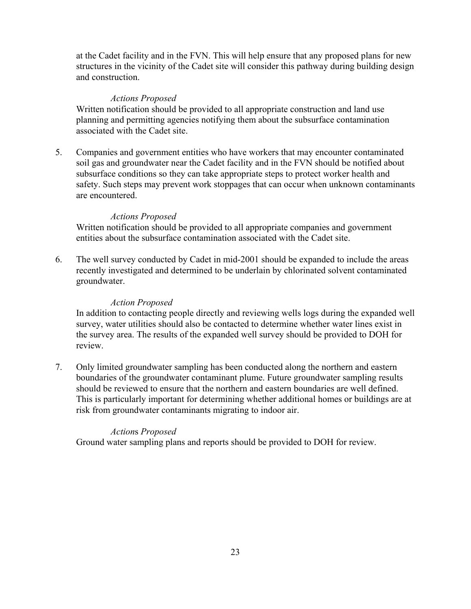at the Cadet facility and in the FVN. This will help ensure that any proposed plans for new structures in the vicinity of the Cadet site will consider this pathway during building design and construction.

#### *Actions Proposed*

Written notification should be provided to all appropriate construction and land use planning and permitting agencies notifying them about the subsurface contamination associated with the Cadet site.

5. Companies and government entities who have workers that may encounter contaminated soil gas and groundwater near the Cadet facility and in the FVN should be notified about subsurface conditions so they can take appropriate steps to protect worker health and safety. Such steps may prevent work stoppages that can occur when unknown contaminants are encountered.

#### *Actions Proposed*

Written notification should be provided to all appropriate companies and government entities about the subsurface contamination associated with the Cadet site.

6. The well survey conducted by Cadet in mid-2001 should be expanded to include the areas recently investigated and determined to be underlain by chlorinated solvent contaminated groundwater.

#### *Action Proposed*

In addition to contacting people directly and reviewing wells logs during the expanded well survey, water utilities should also be contacted to determine whether water lines exist in the survey area. The results of the expanded well survey should be provided to DOH for review.

7. Only limited groundwater sampling has been conducted along the northern and eastern boundaries of the groundwater contaminant plume. Future groundwater sampling results should be reviewed to ensure that the northern and eastern boundaries are well defined. This is particularly important for determining whether additional homes or buildings are at risk from groundwater contaminants migrating to indoor air.

#### *Action*s *Proposed*

Ground water sampling plans and reports should be provided to DOH for review.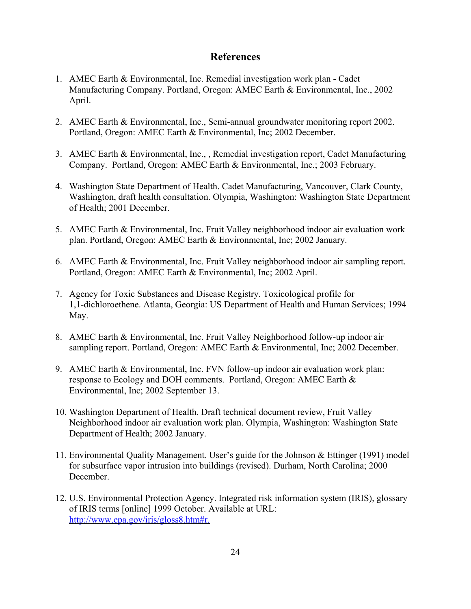## **References**

- 1. AMEC Earth & Environmental, Inc. Remedial investigation work plan Cadet Manufacturing Company. Portland, Oregon: AMEC Earth & Environmental, Inc., 2002 April.
- 2. AMEC Earth & Environmental, Inc., Semi-annual groundwater monitoring report 2002. Portland, Oregon: AMEC Earth & Environmental, Inc; 2002 December.
- 3. AMEC Earth & Environmental, Inc., , Remedial investigation report, Cadet Manufacturing Company. Portland, Oregon: AMEC Earth & Environmental, Inc.; 2003 February.
- 4. Washington State Department of Health. Cadet Manufacturing, Vancouver, Clark County, Washington, draft health consultation. Olympia, Washington: Washington State Department of Health; 2001 December.
- 5. AMEC Earth & Environmental, Inc. Fruit Valley neighborhood indoor air evaluation work plan. Portland, Oregon: AMEC Earth & Environmental, Inc; 2002 January.
- 6. AMEC Earth & Environmental, Inc. Fruit Valley neighborhood indoor air sampling report. Portland, Oregon: AMEC Earth & Environmental, Inc; 2002 April.
- 7. Agency for Toxic Substances and Disease Registry. Toxicological profile for 1,1-dichloroethene. Atlanta, Georgia: US Department of Health and Human Services; 1994 May.
- 8. AMEC Earth & Environmental, Inc. Fruit Valley Neighborhood follow-up indoor air sampling report. Portland, Oregon: AMEC Earth & Environmental, Inc; 2002 December.
- 9. AMEC Earth & Environmental, Inc. FVN follow-up indoor air evaluation work plan: response to Ecology and DOH comments. Portland, Oregon: AMEC Earth & Environmental, Inc; 2002 September 13.
- 10. Washington Department of Health. Draft technical document review, Fruit Valley Neighborhood indoor air evaluation work plan. Olympia, Washington: Washington State Department of Health; 2002 January.
- 11. Environmental Quality Management. User's guide for the Johnson & Ettinger (1991) model for subsurface vapor intrusion into buildings (revised). Durham, North Carolina; 2000 December.
- 12. U.S. Environmental Protection Agency. Integrated risk information system (IRIS), glossary of IRIS terms [online] 1999 October. Available at URL: http://www.epa.gov/iris/gloss8.htm#r.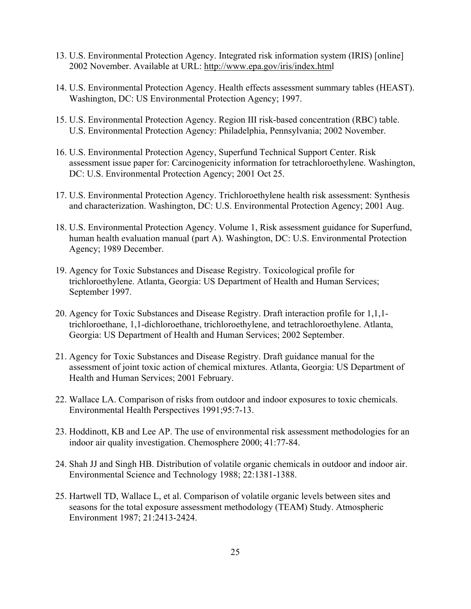- 13. U.S. Environmental Protection Agency. Integrated risk information system (IRIS) [online] 2002 November. Available at URL: http://www.epa.gov/iris/index.html
- 14. U.S. Environmental Protection Agency. Health effects assessment summary tables (HEAST). Washington, DC: US Environmental Protection Agency; 1997.
- 15. U.S. Environmental Protection Agency. Region III risk-based concentration (RBC) table. U.S. Environmental Protection Agency: Philadelphia, Pennsylvania; 2002 November.
- 16. U.S. Environmental Protection Agency, Superfund Technical Support Center. Risk assessment issue paper for: Carcinogenicity information for tetrachloroethylene. Washington, DC: U.S. Environmental Protection Agency; 2001 Oct 25.
- 17. U.S. Environmental Protection Agency. Trichloroethylene health risk assessment: Synthesis and characterization. Washington, DC: U.S. Environmental Protection Agency; 2001 Aug.
- 18. U.S. Environmental Protection Agency. Volume 1, Risk assessment guidance for Superfund, human health evaluation manual (part A). Washington, DC: U.S. Environmental Protection Agency; 1989 December.
- 19. Agency for Toxic Substances and Disease Registry. Toxicological profile for trichloroethylene. Atlanta, Georgia: US Department of Health and Human Services; September 1997.
- 20. Agency for Toxic Substances and Disease Registry. Draft interaction profile for 1,1,1 trichloroethane, 1,1-dichloroethane, trichloroethylene, and tetrachloroethylene. Atlanta, Georgia: US Department of Health and Human Services; 2002 September.
- 21. Agency for Toxic Substances and Disease Registry. Draft guidance manual for the assessment of joint toxic action of chemical mixtures. Atlanta, Georgia: US Department of Health and Human Services; 2001 February.
- 22. Wallace LA. Comparison of risks from outdoor and indoor exposures to toxic chemicals. Environmental Health Perspectives 1991;95:7-13.
- 23. Hoddinott, KB and Lee AP. The use of environmental risk assessment methodologies for an indoor air quality investigation. Chemosphere 2000; 41:77-84.
- 24. Shah JJ and Singh HB. Distribution of volatile organic chemicals in outdoor and indoor air. Environmental Science and Technology 1988; 22:1381-1388.
- 25. Hartwell TD, Wallace L, et al. Comparison of volatile organic levels between sites and seasons for the total exposure assessment methodology (TEAM) Study. Atmospheric Environment 1987; 21:2413-2424.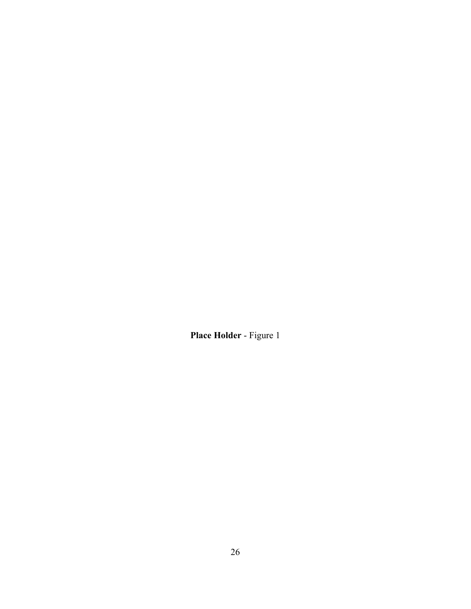**Place Holder** - Figure 1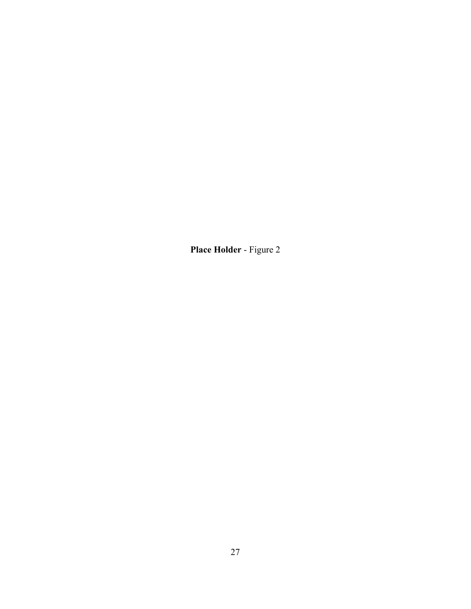**Place Holder** - Figure 2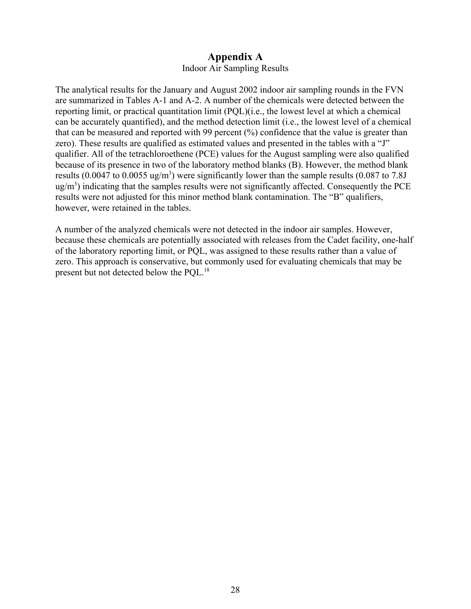## **Appendix A**

#### Indoor Air Sampling Results

The analytical results for the January and August 2002 indoor air sampling rounds in the FVN are summarized in Tables A-1 and A-2. A number of the chemicals were detected between the reporting limit, or practical quantitation limit (PQL)(i.e., the lowest level at which a chemical can be accurately quantified), and the method detection limit (i.e., the lowest level of a chemical that can be measured and reported with 99 percent (%) confidence that the value is greater than zero). These results are qualified as estimated values and presented in the tables with a "J" qualifier. All of the tetrachloroethene (PCE) values for the August sampling were also qualified because of its presence in two of the laboratory method blanks (B). However, the method blank results (0.0047 to 0.0055 ug/m<sup>3</sup>) were significantly lower than the sample results (0.087 to 7.8J  $\mu$ g/m<sup>3</sup>) indicating that the samples results were not significantly affected. Consequently the PCE results were not adjusted for this minor method blank contamination. The "B" qualifiers, however, were retained in the tables.

A number of the analyzed chemicals were not detected in the indoor air samples. However, because these chemicals are potentially associated with releases from the Cadet facility, one-half of the laboratory reporting limit, or PQL, was assigned to these results rather than a value of zero. This approach is conservative, but commonly used for evaluating chemicals that may be present but not detected below the POL.<sup>18</sup>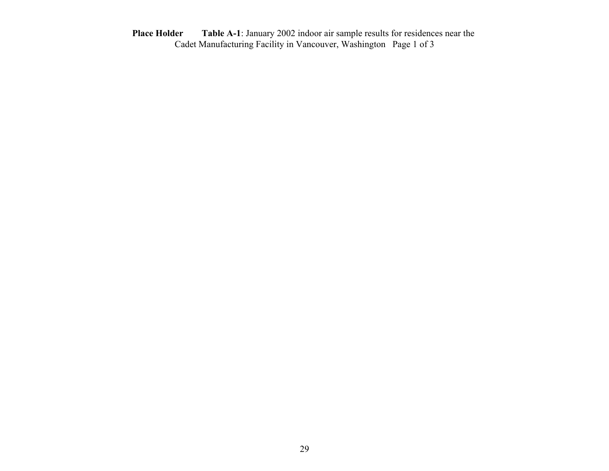**Place Holder Table A-1**: January 2002 indoor air sample results for residences near the Cadet Manufacturing Facility in Vancouver, Washington Page 1 of 3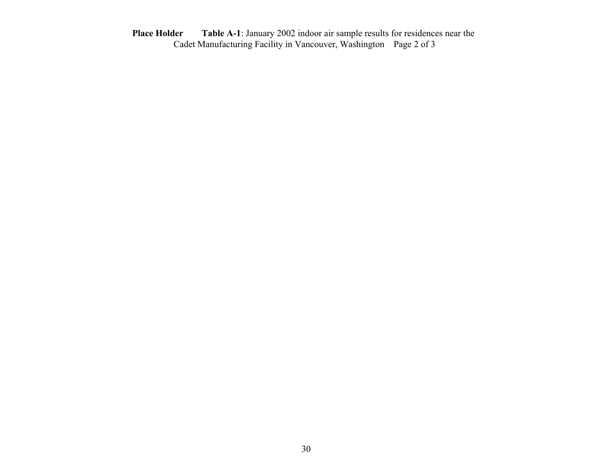**Place Holder Table A-1**: January 2002 indoor air sample results for residences near the Cadet Manufacturing Facility in Vancouver, Washington Page 2 of 3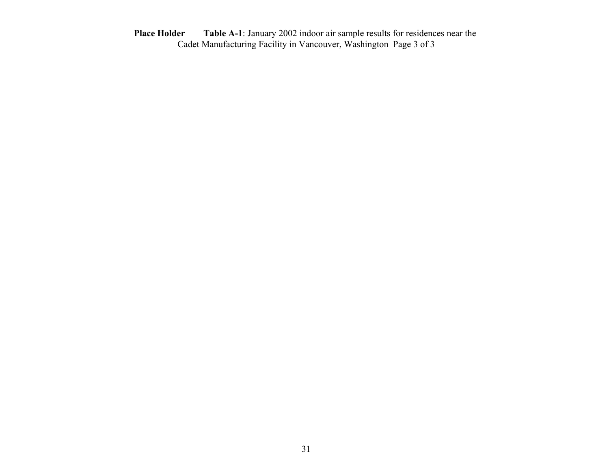**Place Holder Table A-1**: January 2002 indoor air sample results for residences near the Cadet Manufacturing Facility in Vancouver, Washington Page 3 of 3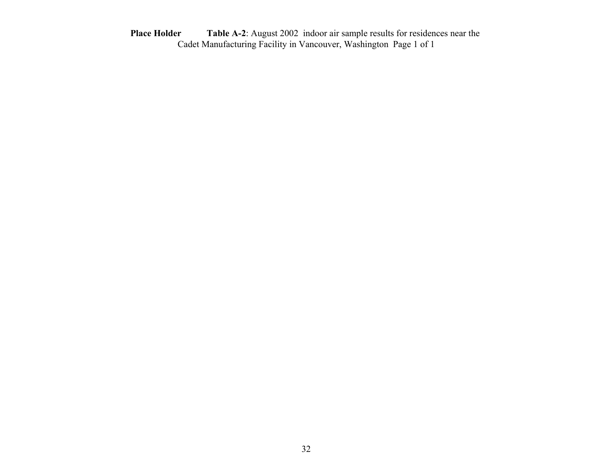**Place Holder Table A-2**: August 2002 indoor air sample results for residences near the Cadet Manufacturing Facility in Vancouver, Washington Page 1 of 1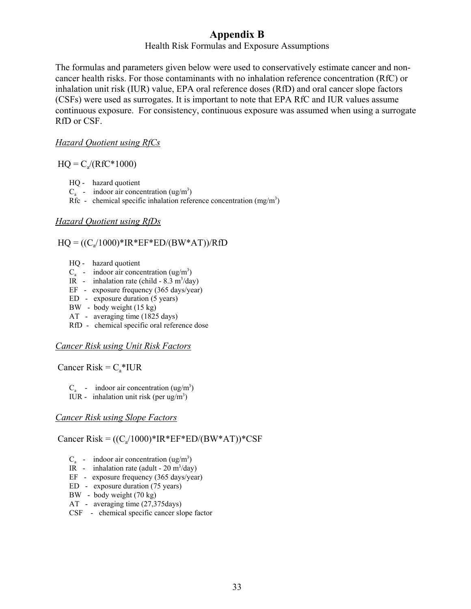## **Appendix B**

#### Health Risk Formulas and Exposure Assumptions

The formulas and parameters given below were used to conservatively estimate cancer and noncancer health risks. For those contaminants with no inhalation reference concentration (RfC) or inhalation unit risk (IUR) value, EPA oral reference doses (RfD) and oral cancer slope factors (CSFs) were used as surrogates. It is important to note that EPA RfC and IUR values assume continuous exposure. For consistency, continuous exposure was assumed when using a surrogate RfD or CSF.

#### *Hazard Quotient using RfCs*

#### $HQ = C_a/(RfC*1000)$

- HQ hazard quotient
- $C_a$  indoor air concentration (ug/m<sup>3</sup>)
- Rfc chemical specific inhalation reference concentration  $(mg/m<sup>3</sup>)$

#### *Hazard Quotient using RfDs*

#### $HO = ((C_4/1000)*IR*EF*ED/(BW*AT))/RfD$

- HQ hazard quotient
- $C_a$  indoor air concentration (ug/m<sup>3</sup>)
- IR inhalation rate (child  $8.3 \text{ m}^3/\text{day}$ )
- EF exposure frequency (365 days/year)
- ED exposure duration (5 years)
- BW body weight (15 kg)
- AT averaging time (1825 days)
- RfD chemical specific oral reference dose

#### *Cancer Risk using Unit Risk Factors*

Cancer Risk =  $C_a$ \*IUR

- $C_a$  indoor air concentration (ug/m<sup>3</sup>)
- IUR inhalation unit risk (per  $\lg/m^3$ )

#### *Cancer Risk using Slope Factors*

#### Cancer Risk =  $((C_4/1000)*IR*EF*ED/(BW*AT))*CSF$

- $C_a$  indoor air concentration (ug/m<sup>3</sup>)
- IR inhalation rate (adult  $20 \text{ m}^3/\text{day}$ )
- EF exposure frequency (365 days/year)
- ED exposure duration (75 years)
- BW body weight (70 kg)
- AT averaging time (27,375days)
- CSF chemical specific cancer slope factor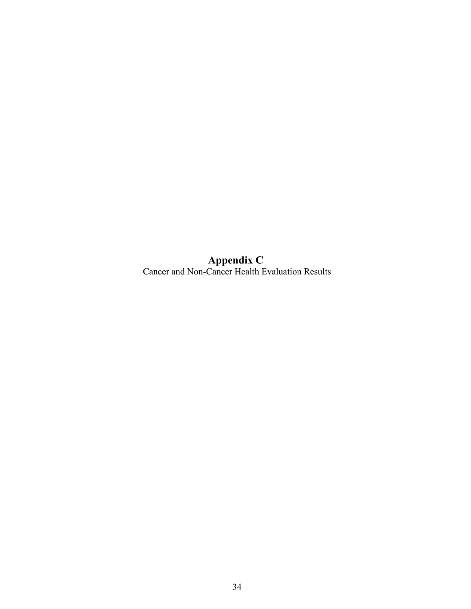**Appendix C**  Cancer and Non-Cancer Health Evaluation Results

34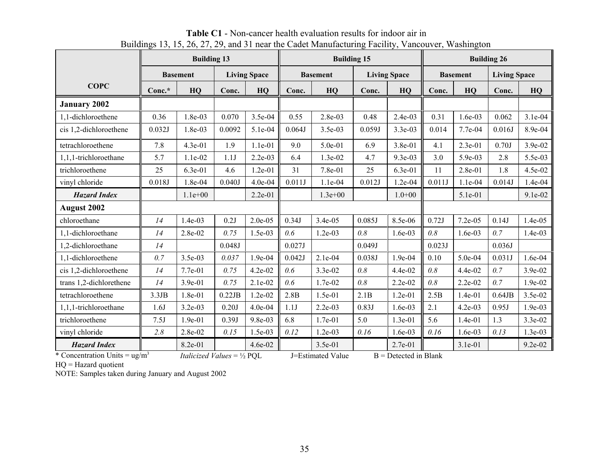|                                                |        | <b>Building 13</b>                           |        |                     |        | <b>Building 15</b> |        |                         |        | <b>Building 26</b> |                     |           |  |
|------------------------------------------------|--------|----------------------------------------------|--------|---------------------|--------|--------------------|--------|-------------------------|--------|--------------------|---------------------|-----------|--|
|                                                |        | <b>Basement</b>                              |        | <b>Living Space</b> |        | <b>Basement</b>    |        | <b>Living Space</b>     |        | <b>Basement</b>    | <b>Living Space</b> |           |  |
| <b>COPC</b>                                    | Conc.* | HQ                                           | Conc.  | HQ                  | Conc.  | HQ                 | Conc.  | HQ                      | Conc.  | HQ                 | Conc.               | HQ        |  |
| <b>January 2002</b>                            |        |                                              |        |                     |        |                    |        |                         |        |                    |                     |           |  |
| 1.1-dichloroethene                             | 0.36   | 1.8e-03                                      | 0.070  | 3.5e-04             | 0.55   | $2.8e-03$          | 0.48   | $2.4e-03$               | 0.31   | 1.6e-03            | 0.062               | $3.1e-04$ |  |
| cis 1,2-dichloroethene                         | 0.032J | 1.8e-03                                      | 0.0092 | 5.1e-04             | 0.064J | 3.5e-03            | 0.059J | 3.3e-03                 | 0.014  | 7.7e-04            | 0.016J              | 8.9e-04   |  |
| tetrachloroethene                              | 7.8    | 4.3e-01                                      | 1.9    | 1.1e-01             | 9.0    | 5.0e-01            | 6.9    | 3.8e-01                 | 4.1    | 2.3e-01            | 0.70J               | 3.9e-02   |  |
| 1,1,1-trichloroethane                          | 5.7    | 1.1e-02                                      | 1.1J   | $2.2e-03$           | 6.4    | 1.3e-02            | 4.7    | $9.3e-03$               | 3.0    | 5.9e-03            | 2.8                 | 5.5e-03   |  |
| trichloroethene                                | 25     | 6.3e-01                                      | 4.6    | 1.2e-01             | 31     | $7.8e-01$          | 25     | $6.3e-01$               | 11     | 2.8e-01            | 1.8                 | 4.5e-02   |  |
| vinyl chloride                                 | 0.018J | 1.8e-04                                      | 0.040J | 4.0e-04             | 0.011J | 1.1e-04            | 0.012J | 1.2e-04                 | 0.011J | $1.1e-04$          | 0.014J              | 1.4e-04   |  |
| <b>Hazard Index</b>                            |        | $1.1e+00$                                    |        | 2.2e-01             |        | $1.3e + 00$        |        | $1.0 + 00$              |        | 5.1e-01            |                     | 9.1e-02   |  |
| <b>August 2002</b>                             |        |                                              |        |                     |        |                    |        |                         |        |                    |                     |           |  |
| chloroethane                                   | 14     | $1.4e-03$                                    | 0.2J   | 2.0e-05             | 0.34J  | 3.4e-05            | 0.085J | 8.5e-06                 | 0.72J  | 7.2e-05            | 0.14J               | 1.4e-05   |  |
| 1,1-dichloroethane                             | 14     | 2.8e-02                                      | 0.75   | 1.5e-03             | 0.6    | $1.2e-03$          | 0.8    | 1.6e-03                 | 0.8    | $1.6e-03$          | 0.7                 | 1.4e-03   |  |
| 1,2-dichloroethane                             | 14     |                                              | 0.048J |                     | 0.027J |                    | 0.049J |                         | 0.023J |                    | 0.036J              |           |  |
| 1,1-dichloroethene                             | 0.7    | 3.5e-03                                      | 0.037  | 1.9e-04             | 0.042J | $2.1e-04$          | 0.038J | 1.9e-04                 | 0.10   | 5.0e-04            | 0.031J              | 1.6e-04   |  |
| cis 1,2-dichloroethene                         | 14     | 7.7e-01                                      | 0.75   | 4.2e-02             | 0.6    | 3.3e-02            | 0.8    | 4.4e-02                 | 0.8    | 4.4e-02            | 0.7                 | 3.9e-02   |  |
| trans 1,2-dichlorethene                        | 14     | 3.9e-01                                      | 0.75   | 2.1e-02             | 0.6    | 1.7e-02            | 0.8    | 2.2e-02                 | 0.8    | $2.2e-02$          | 0.7                 | 1.9e-02   |  |
| tetrachloroethene                              | 3.3JB  | 1.8e-01                                      | 0.22JB | $1.2e-02$           | 2.8B   | 1.5e-01            | 2.1B   | $1.2e-01$               | 2.5B   | $1.4e-01$          | $0.64$ JB           | 3.5e-02   |  |
| 1,1,1-trichloroethane                          | 1.6J   | $3.2e-03$                                    | 0.20J  | 4.0e-04             | 1.1J   | $2.2e-03$          | 0.83J  | 1.6e-03                 | 2.1    | $4.2e-03$          | 0.95J               | $1.9e-03$ |  |
| trichloroethene                                | 7.5J   | $1.9e-01$                                    | 0.39J  | 9.8e-03             | 6.8    | $1.7e-01$          | 5.0    | $1.3e-01$               | 5.6    | $1.4e-01$          | 1.3                 | 3.3e-02   |  |
| vinyl chloride                                 | 2.8    | 2.8e-02                                      | 0.15   | 1.5e-03             | 0.12   | $1.2e-03$          | 0.16   | 1.6e-03                 | 0.16   | 1.6e-03            | 0.13                | $1.3e-03$ |  |
| <b>Hazard Index</b>                            |        | 8.2e-01                                      |        | 4.6e-02             |        | 3.5e-01            |        | 2.7e-01                 |        | 3.1e-01            |                     | $9.2e-02$ |  |
| * Concentration Units = $\mu$ g/m <sup>3</sup> |        | <i>Italicized Values</i> = $\frac{1}{2}$ PQL |        |                     |        | J=Estimated Value  |        | $B =$ Detected in Blank |        |                    |                     |           |  |

**Table C1** - Non-cancer health evaluation results for indoor air in Buildings 13, 15, 26, 27, 29, and 31 near the Cadet Manufacturing Facility, Vancouver, Washington

HQ = Hazard quotient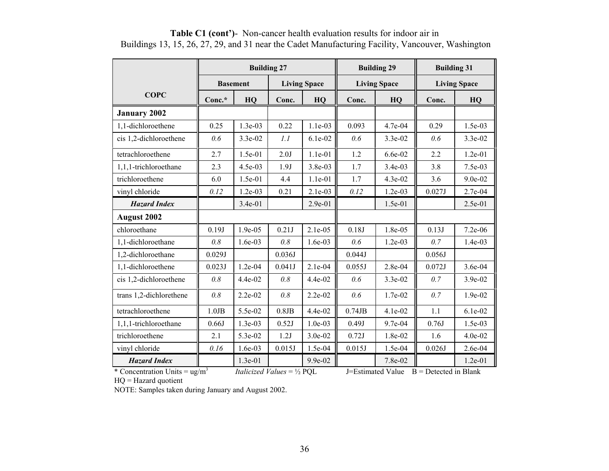|                         |             | <b>Building 27</b> |          |                     |           | <b>Building 29</b>  | <b>Building 31</b> |                     |  |
|-------------------------|-------------|--------------------|----------|---------------------|-----------|---------------------|--------------------|---------------------|--|
|                         |             | <b>Basement</b>    |          | <b>Living Space</b> |           | <b>Living Space</b> |                    | <b>Living Space</b> |  |
| <b>COPC</b>             | Conc.*      | HQ                 | Conc.    | HQ                  | Conc.     | HQ                  | Conc.              | HQ                  |  |
| <b>January 2002</b>     |             |                    |          |                     |           |                     |                    |                     |  |
| 1,1-dichloroethene      | 0.25        | $1.3e-03$          | 0.22     | $1.1e-03$           | 0.093     | 4.7e-04             | 0.29               | $1.5e-03$           |  |
| cis 1,2-dichloroethene  | 0.6         | $3.3e-02$          | 1.1      | $6.1e-02$           | 0.6       | $3.3e-02$           | 0.6                | 3.3e-02             |  |
| tetrachloroethene       | 2.7         | 1.5e-01            | 2.0J     | $1.1e-01$           | 1.2       | 6.6e-02             | 2.2                | $1.2e-01$           |  |
| 1,1,1-trichloroethane   | 2.3         | 4.5e-03            | 1.9J     | 3.8e-03             | 1.7       | 3.4e-03             | 3.8                | $7.5e-03$           |  |
| trichloroethene         | 6.0         | 1.5e-01            | 4.4      | $1.1e-01$           | 1.7       | $4.3e-02$           | 3.6                | 9.0e-02             |  |
| vinyl chloride          | 0.12        | 1.2e-03            | 0.21     | 2.1e-03             | 0.12      | $1.2e-03$           | 0.027J             | 2.7e-04             |  |
| <b>Hazard Index</b>     |             | $3.4e-01$          |          | $2.9e-01$           |           | 1.5e-01             |                    | 2.5e-01             |  |
| <b>August 2002</b>      |             |                    |          |                     |           |                     |                    |                     |  |
| chloroethane            | 0.19J       | 1.9e-05            | 0.21J    | $2.1e-0.5$          | 0.18J     | 1.8e-05             | 0.13J              | 7.2e-06             |  |
| 1,1-dichloroethane      | 0.8         | $1.6e-03$          | 0.8      | $1.6e-03$           | 0.6       | $1.2e-03$           | 0.7                | $1.4e-03$           |  |
| 1,2-dichloroethane      | 0.029J      |                    | 0.036J   |                     | 0.044J    |                     | 0.056J             |                     |  |
| 1,1-dichloroethene      | 0.023J      | $1.2e-04$          | 0.041J   | 2.1e-04             | 0.055J    | 2.8e-04             | 0.072J             | 3.6e-04             |  |
| cis 1,2-dichloroethene  | 0.8         | 4.4e-02            | 0.8      | $4.4e-02$           | 0.6       | $3.3e-02$           | 0.7                | 3.9e-02             |  |
| trans 1,2-dichlorethene | 0.8         | $2.2e-02$          | 0.8      | $2.2e-02$           | 0.6       | $1.7e-02$           | 0.7                | 1.9e-02             |  |
| tetrachloroethene       | $1.0$ J $B$ | 5.5e-02            | $0.8$ JB | $4.4e-02$           | $0.74$ JB | $4.1e-02$           | 1.1                | $6.1e-02$           |  |
| 1,1,1-trichloroethane   | 0.66J       | $1.3e-03$          | 0.52J    | $1.0e-03$           | 0.49J     | $9.7e-04$           | 0.76J              | $1.5e-03$           |  |
| trichloroethene         | 2.1         | 5.3e-02            | 1.2J     | $3.0e-02$           | 0.72J     | $1.8e-02$           | 1.6                | $4.0e-02$           |  |
| vinyl chloride          | 0.16        | $1.6e-03$          | 0.015J   | 1.5e-04             | 0.015J    | 1.5e-04             | 0.026J             | 2.6e-04             |  |
| <b>Hazard Index</b>     |             | 1.3e-01            |          | $9.9e-02$           |           | 7.8e-02             |                    | $1.2e-01$           |  |

**Table C1 (cont')**- Non-cancer health evaluation results for indoor air in Buildings 13, 15, 26, 27, 29, and 31 near the Cadet Manufacturing Facility, Vancouver, Washington

\* Concentration Units = ug/m<sup>3</sup> *Italicized Values* = ½ PQL J=Estimated Value B = Detected in Blank

HQ = Hazard quotient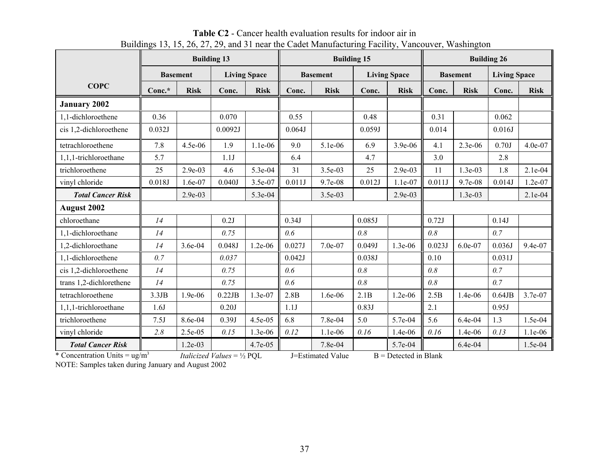|                                 |        |                 | <b>Building 13</b>                           |                     | <b>Building 15</b> |                   |        |                         | <b>Building 26</b> |                 |                     |             |
|---------------------------------|--------|-----------------|----------------------------------------------|---------------------|--------------------|-------------------|--------|-------------------------|--------------------|-----------------|---------------------|-------------|
|                                 |        | <b>Basement</b> |                                              | <b>Living Space</b> |                    | <b>Basement</b>   |        | <b>Living Space</b>     |                    | <b>Basement</b> | <b>Living Space</b> |             |
| <b>COPC</b>                     | Conc.* | <b>Risk</b>     | Conc.                                        | <b>Risk</b>         | Conc.              | <b>Risk</b>       | Conc.  | <b>Risk</b>             | Conc.              | <b>Risk</b>     | Conc.               | <b>Risk</b> |
| <b>January 2002</b>             |        |                 |                                              |                     |                    |                   |        |                         |                    |                 |                     |             |
| 1.1-dichloroethene              | 0.36   |                 | 0.070                                        |                     | 0.55               |                   | 0.48   |                         | 0.31               |                 | 0.062               |             |
| cis 1,2-dichloroethene          | 0.032J |                 | 0.0092J                                      |                     | 0.064J             |                   | 0.059J |                         | 0.014              |                 | 0.016J              |             |
| tetrachloroethene               | 7.8    | 4.5e-06         | 1.9                                          | 1.1e-06             | 9.0                | 5.1e-06           | 6.9    | 3.9e-06                 | 4.1                | 2.3e-06         | 0.70J               | 4.0e-07     |
| 1,1,1-trichloroethane           | 5.7    |                 | 1.1J                                         |                     | 6.4                |                   | 4.7    |                         | 3.0                |                 | 2.8                 |             |
| trichloroethene                 | 25     | 2.9e-03         | 4.6                                          | 5.3e-04             | 31                 | 3.5e-03           | 25     | 2.9e-03                 | 11                 | $1.3e-03$       | 1.8                 | $2.1e-04$   |
| vinyl chloride                  | 0.018J | $1.6e-07$       | 0.040J                                       | 3.5e-07             | 0.011J             | $9.7e-08$         | 0.012J | $1.1e-07$               | 0.011J             | 9.7e-08         | 0.014J              | 1.2e-07     |
| <b>Total Cancer Risk</b>        |        | $2.9e-03$       |                                              | 5.3e-04             |                    | 3.5e-03           |        | $2.9e-03$               |                    | 1.3e-03         |                     | 2.1e-04     |
| <b>August 2002</b>              |        |                 |                                              |                     |                    |                   |        |                         |                    |                 |                     |             |
| chloroethane                    | 14     |                 | 0.2J                                         |                     | 0.34J              |                   | 0.085J |                         | 0.72J              |                 | 0.14J               |             |
| 1,1-dichloroethane              | 14     |                 | 0.75                                         |                     | 0.6                |                   | 0.8    |                         | 0.8                |                 | 0.7                 |             |
| 1,2-dichloroethane              | 14     | 3.6e-04         | 0.048J                                       | $1.2e-06$           | 0.027J             | $7.0e-07$         | 0.049J | 1.3e-06                 | 0.023J             | 6.0e-07         | 0.036J              | 9.4e-07     |
| 1,1-dichloroethene              | 0.7    |                 | 0.037                                        |                     | 0.042J             |                   | 0.038J |                         | 0.10               |                 | 0.031J              |             |
| cis 1,2-dichloroethene          | 14     |                 | 0.75                                         |                     | 0.6                |                   | 0.8    |                         | 0.8                |                 | 0.7                 |             |
| trans 1,2-dichlorethene         | 14     |                 | 0.75                                         |                     | 0.6                |                   | 0.8    |                         | 0.8                |                 | 0.7                 |             |
| tetrachloroethene               | 3.3JB  | 1.9e-06         | 0.22JB                                       | $1.3e-07$           | 2.8B               | $1.6e-06$         | 2.1B   | $1.2e-06$               | 2.5B               | 1.4e-06         | $0.64$ JB           | 3.7e-07     |
| 1,1,1-trichloroethane           | 1.6J   |                 | 0.20J                                        |                     | 1.1J               |                   | 0.83J  |                         | 2.1                |                 | 0.95J               |             |
| trichloroethene                 | 7.5J   | 8.6e-04         | 0.39J                                        | 4.5e-05             | 6.8                | 7.8e-04           | 5.0    | 5.7e-04                 | 5.6                | 6.4e-04         | 1.3                 | 1.5e-04     |
| vinyl chloride                  | 2.8    | 2.5e-05         | 0.15                                         | 1.3e-06             | 0.12               | 1.1e-06           | 0.16   | 1.4e-06                 | 0.16               | 1.4e-06         | 0.13                | $1.1e-06$   |
| <b>Total Cancer Risk</b>        |        | $1.2e-03$       |                                              | $4.7e-0.5$          |                    | 7.8e-04           |        | 5.7e-04                 |                    | 6.4e-04         |                     | 1.5e-04     |
| * Concentration Units = $ug/m3$ |        |                 | <i>Italicized Values</i> = $\frac{1}{2}$ PQL |                     |                    | J=Estimated Value |        | $B =$ Detected in Blank |                    |                 |                     |             |

**Table C2** - Cancer health evaluation results for indoor air in Buildings 13, 15, 26, 27, 29, and 31 near the Cadet Manufacturing Facility, Vancouver, Washington

NOTE: Samples taken during January and August 2002

37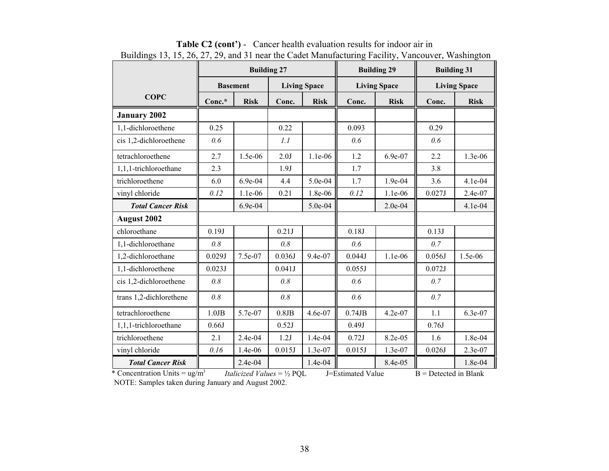|                          |             | <b>Building 27</b> |          |                     |           | <b>Building 29</b>  | <b>Building 31</b>  |             |  |
|--------------------------|-------------|--------------------|----------|---------------------|-----------|---------------------|---------------------|-------------|--|
|                          |             | <b>Basement</b>    |          | <b>Living Space</b> |           | <b>Living Space</b> | <b>Living Space</b> |             |  |
| <b>COPC</b>              | $Conc.*$    | <b>Risk</b>        | Conc.    | <b>Risk</b>         | Conc.     | <b>Risk</b>         | Conc.               | <b>Risk</b> |  |
| <b>January 2002</b>      |             |                    |          |                     |           |                     |                     |             |  |
| 1,1-dichloroethene       | 0.25        |                    | 0.22     |                     | 0.093     |                     | 0.29                |             |  |
| cis 1,2-dichloroethene   | 0.6         |                    | 1.1      |                     | 0.6       |                     | 0.6                 |             |  |
| tetrachloroethene        | 2.7         | 1.5e-06            | 2.0J     | 1.1e-06             | 1.2       | 6.9e-07             | 2.2                 | 1.3e-06     |  |
| 1,1,1-trichloroethane    | 2.3         |                    | 1.9J     |                     | 1.7       |                     | 3.8                 |             |  |
| trichloroethene          | 6.0         | 6.9e-04            | 4.4      | 5.0e-04             | 1.7       | 1.9e-04             | 3.6                 | 4.1e-04     |  |
| vinyl chloride           | 0.12        | $1.1e-06$          | 0.21     | 1.8e-06             | 0.12      | $1.1e-06$           | 0.027J              | 2.4e-07     |  |
| <b>Total Cancer Risk</b> |             | 6.9e-04            |          | 5.0e-04             |           | 2.0e-04             |                     | 4.1e-04     |  |
| August 2002              |             |                    |          |                     |           |                     |                     |             |  |
| chloroethane             | 0.19J       |                    | 0.21J    |                     | 0.18J     |                     | 0.13J               |             |  |
| 1,1-dichloroethane       | 0.8         |                    | 0.8      |                     | 0.6       |                     | 0.7                 |             |  |
| 1,2-dichloroethane       | 0.029J      | 7.5e-07            | 0.036J   | 9.4e-07             | 0.044J    | 1.1e-06             | 0.056J              | $1.5e-06$   |  |
| 1,1-dichloroethene       | 0.023J      |                    | 0.041J   |                     | 0.055J    |                     | 0.072J              |             |  |
| cis 1,2-dichloroethene   | 0.8         |                    | 0.8      |                     | 0.6       |                     | 0.7                 |             |  |
| trans 1,2-dichlorethene  | 0.8         |                    | 0.8      |                     | 0.6       |                     | 0.7                 |             |  |
| tetrachloroethene        | $1.0$ J $B$ | 5.7e-07            | $0.8$ JB | 4.6e-07             | $0.74$ JB | $4.2e-07$           | 1.1                 | 6.3e-07     |  |
| 1,1,1-trichloroethane    | 0.66J       |                    | 0.52J    |                     | 0.49J     |                     | 0.76J               |             |  |
| trichloroethene          | 2.1         | 2.4e-04            | 1.2J     | $1.4e-04$           | 0.72J     | 8.2e-05             | 1.6                 | 1.8e-04     |  |
| vinyl chloride           | 0.16        | 1.4e-06            | 0.015J   | 1.3e-07             | 0.015J    | 1.3e-07             | 0.026J              | 2.3e-07     |  |
| <b>Total Cancer Risk</b> |             | 2.4e-04            |          | 1.4e-04             |           | 8.4e-05             |                     | 1.8e-04     |  |

**Table C2 (cont')** - Cancer health evaluation results for indoor air in Buildings 13, 15, 26, 27, 29, and 31 near the Cadet Manufacturing Facility, Vancouver, Washington

\* Concentration Units =  $\frac{ug}{m^3}$  *Italicized Values* =  $\frac{1}{2}$  PQL J=Estimated Value B = Detected in Blank NOTE: Samples taken during January and August 2002.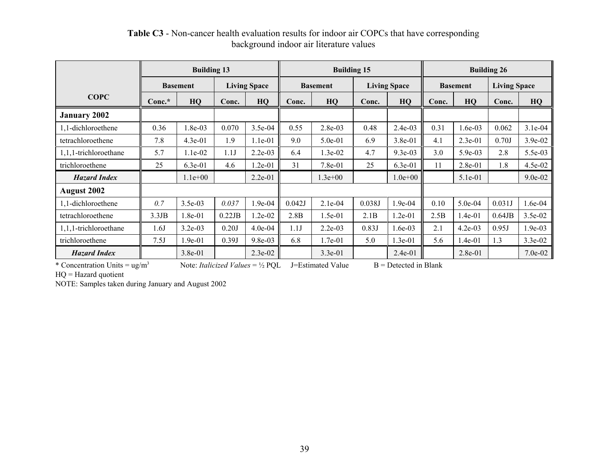|                          | <b>Building 13</b>                     |           |                 |           | <b>Building 15</b> |                     | <b>Building 26</b> |                 |       |                     |           |           |
|--------------------------|----------------------------------------|-----------|-----------------|-----------|--------------------|---------------------|--------------------|-----------------|-------|---------------------|-----------|-----------|
|                          | <b>Living Space</b><br><b>Basement</b> |           | <b>Basement</b> |           |                    | <b>Living Space</b> |                    | <b>Basement</b> |       | <b>Living Space</b> |           |           |
| <b>COPC</b>              | $Conc.*$                               | HQ        | Conc.           | HQ        | Conc.              | HQ                  | Conc.              | HQ              | Conc. | HQ                  | Conc.     | HQ        |
| <b>January 2002</b>      |                                        |           |                 |           |                    |                     |                    |                 |       |                     |           |           |
| 1,1-dichloroethene       | 0.36                                   | 1.8e-03   | 0.070           | 3.5e-04   | 0.55               | $2.8e-03$           | 0.48               | $2.4e-03$       | 0.31  | $1.6e-03$           | 0.062     | $3.1e-04$ |
| tetrachloroethene        | 7.8                                    | $4.3e-01$ | 1.9             | 1.1e-01   | 9.0                | $5.0e-01$           | 6.9                | 3.8e-01         | 4.1   | $2.3e-01$           | 0.70J     | 3.9e-02   |
| $1,1,1$ -trichloroethane | 5.7                                    | $1.1e-02$ | 1.1J            | $2.2e-03$ | 6.4                | $1.3e-02$           | 4.7                | $9.3e-03$       | 3.0   | $5.9e-03$           | 2.8       | 5.5e-03   |
| trichloroethene          | 25                                     | $6.3e-01$ | 4.6             | 1.2e-01   | 31                 | $7.8e-01$           | 25                 | $6.3e-01$       | 11    | $2.8e-01$           | 1.8       | 4.5e-02   |
| <b>Hazard Index</b>      |                                        | $1.1e+00$ |                 | $2.2e-01$ |                    | $1.3e+00$           |                    | $1.0e + 00$     |       | $5.1e-01$           |           | $9.0e-02$ |
| <b>August 2002</b>       |                                        |           |                 |           |                    |                     |                    |                 |       |                     |           |           |
| 1,1-dichloroethene       | 0.7                                    | $3.5e-03$ | 0.037           | 1.9e-04   | 0.042J             | $2.1e-04$           | 0.038J             | $1.9e-04$       | 0.10  | $5.0e-04$           | 0.031J    | $1.6e-04$ |
| tetrachloroethene        | 3.3JB                                  | $1.8e-01$ | 0.22JB          | $1.2e-02$ | 2.8B               | $1.5e-01$           | 2.1B               | $1.2e-01$       | 2.5B  | $1.4e-01$           | $0.64$ JB | $3.5e-02$ |
| $1,1,1$ -trichloroethane | 1.6J                                   | $3.2e-03$ | 0.20J           | 4.0e-04   | 1.1J               | $2.2e-03$           | 0.83J              | 1.6e-03         | 2.1   | $4.2e-03$           | 0.95J     | 1.9e-03   |
| trichloroethene          | 7.5J                                   | $1.9e-01$ | 0.39J           | $9.8e-03$ | 6.8                | $1.7e-01$           | 5.0                | $1.3e-01$       | 5.6   | $1.4e-01$           | 1.3       | $3.3e-02$ |
| <b>Hazard Index</b>      |                                        | $3.8e-01$ |                 | $2.3e-02$ |                    | $3.3e-01$           |                    | $2.4e-01$       |       | $2.8e-01$           |           | $7.0e-02$ |

**Table C3** - Non-cancer health evaluation results for indoor air COPCs that have corresponding background indoor air literature values

\* Concentration Units = ug/m3 Note: *Italicized Values* = ½ PQL J=Estimated Value B = Detected in Blank

HQ = Hazard quotient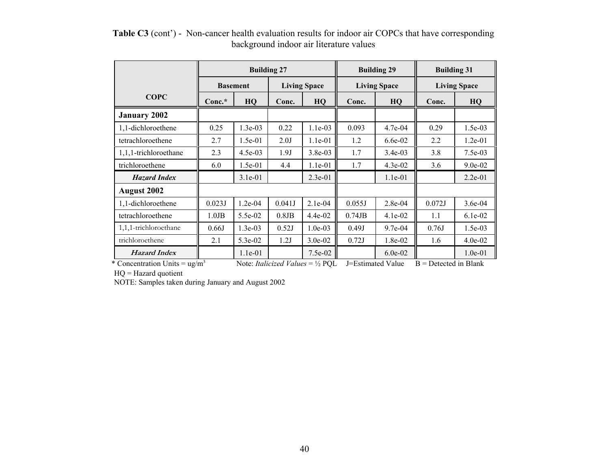|                                         |             | <b>Building 27</b> |          |                                                    |              | <b>Building 29</b>  | <b>Building 31</b>      |           |  |
|-----------------------------------------|-------------|--------------------|----------|----------------------------------------------------|--------------|---------------------|-------------------------|-----------|--|
|                                         |             | <b>Basement</b>    |          | <b>Living Space</b>                                |              | <b>Living Space</b> | <b>Living Space</b>     |           |  |
| <b>COPC</b>                             | $Conc.*$    | HQ                 | Conc.    | HQ                                                 | Conc.        | HQ                  | Conc.                   | HQ        |  |
| <b>January 2002</b>                     |             |                    |          |                                                    |              |                     |                         |           |  |
| 1,1-dichloroethene                      | 0.25        | $1.3e-03$          | 0.22     | $1.1e-03$                                          | 0.093        | $4.7e-04$           | 0.29                    | 1.5e-03   |  |
| tetrachloroethene                       | 2.7         | $1.5e-01$          | 2.0J     | $1.1e-01$                                          | 1.2          | $6.6e-02$           | 2.2                     | $1.2e-01$ |  |
| 1,1,1-trichloroethane                   | 2.3         | $4.5e-03$          | 1.9J     | 3.8e-03                                            | 1.7          | $3.4e-03$           | 3.8                     | $7.5e-03$ |  |
| trichloroethene                         | 6.0         | 1.5e-01            | 4.4      | 1.1e-01                                            | 1.7          | 4.3e-02             | 3.6                     | 9.0e-02   |  |
| <b>Hazard Index</b>                     |             | $3.1e-01$          |          | $2.3e-01$                                          |              | $1.1e-01$           |                         | 2.2e-01   |  |
| <b>August 2002</b>                      |             |                    |          |                                                    |              |                     |                         |           |  |
| 1,1-dichloroethene                      | 0.023J      | $1.2e-04$          | 0.041J   | $2.1e-04$                                          | 0.055J       | $2.8e-04$           | 0.072J                  | $3.6e-04$ |  |
| tetrachloroethene                       | $1.0$ J $B$ | $5.5e-02$          | $0.8$ JB | $4.4e-02$                                          | $0.74$ J $B$ | $4.1e-02$           | 1.1                     | $6.1e-02$ |  |
| 1,1,1-trichloroethane                   | 0.66J       | $1.3e-03$          | 0.52J    | $1.0e-03$                                          | 0.49J        | $9.7e-04$           | 0.76J                   | $1.5e-03$ |  |
| trichloroethene                         | 2.1         | 5.3e-02            | 1.2J     | $3.0e-02$                                          | 0.72J        | 1.8e-02             | 1.6                     | $4.0e-02$ |  |
| <b>Hazard Index</b>                     |             | 1.1e-01            |          | 7.5e-02                                            |              | $6.0e-02$           |                         | $1.0e-01$ |  |
| * Concentration Units = $\text{ug/m}^3$ |             |                    |          | Note: <i>Italicized Values</i> = $\frac{1}{2}$ PQL |              | J=Estimated Value   | $B =$ Detected in Blank |           |  |

**Table C3** (cont') - Non-cancer health evaluation results for indoor air COPCs that have corresponding background indoor air literature values

HQ = Hazard quotient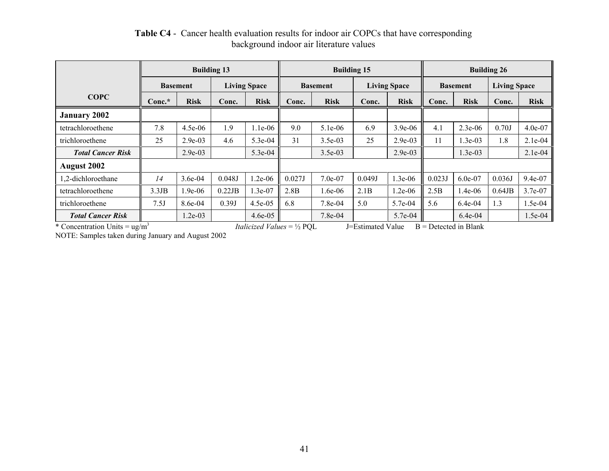|                          | <b>Building 13</b> |             |                     |             |                 | <b>Building 15</b> |                     | <b>Building 26</b> |                 |             |                     |             |
|--------------------------|--------------------|-------------|---------------------|-------------|-----------------|--------------------|---------------------|--------------------|-----------------|-------------|---------------------|-------------|
|                          | <b>Basement</b>    |             | <b>Living Space</b> |             | <b>Basement</b> |                    | <b>Living Space</b> |                    | <b>Basement</b> |             | <b>Living Space</b> |             |
| <b>COPC</b>              | $Conc.*$           | <b>Risk</b> | Conc.               | <b>Risk</b> | Conc.           | <b>Risk</b>        | Conc.               | <b>Risk</b>        | Conc.           | <b>Risk</b> | Conc.               | <b>Risk</b> |
| <b>January 2002</b>      |                    |             |                     |             |                 |                    |                     |                    |                 |             |                     |             |
| tetrachloroethene        | 7.8                | $4.5e-06$   | 1.9                 | $1.1e-06$   | 9.0             | $5.1e-06$          | 6.9                 | $3.9e - 06$        | 4.1             | $2.3e-06$   | 0.70J               | 4.0e-07     |
| trichloroethene          | 25                 | $2.9e-03$   | 4.6                 | 5.3e-04     | 31              | $3.5e-03$          | 25                  | $2.9e-03$          | 11              | 1.3e-03     | 1.8                 | $2.1e-04$   |
| <b>Total Cancer Risk</b> |                    | $2.9e-03$   |                     | 5.3e-04     |                 | $3.5e-03$          |                     | $2.9e-03$          |                 | $1.3e-03$   |                     | $2.1e-04$   |
| <b>August 2002</b>       |                    |             |                     |             |                 |                    |                     |                    |                 |             |                     |             |
| 1,2-dichloroethane       | 14                 | 3.6e-04     | 0.048J              | $1.2e-06$   | 0.027J          | $7.0e-07$          | 0.049J              | $1.3e-06$          | 0.023J          | 6.0e-07     | 0.036J              | $9.4e-07$   |
| tetrachloroethene        | 3.3JB              | 1.9e-06     | 0.22JB              | 1.3e-07     | 2.8B            | $6e-06$            | 2.1B                | $1.2e-06$          | 2.5B            | 1.4e-06     | $0.64$ JB           | 3.7e-07     |
| trichloroethene          | 7.5J               | 8.6e-04     | 0.39J               | 4.5e-05     | 6.8             | $7.8e-04$          | 5.0                 | 5.7e-04            | 5.6             | $6.4e-04$   | 1.3                 | 1.5e-04     |
| <b>Total Cancer Risk</b> |                    | $1.2e-03$   |                     | $4.6e-05$   |                 | 7.8e-04            |                     | 5.7e-04            |                 | $6.4e-04$   |                     | 1.5e-04     |

## **Table C4** - Cancer health evaluation results for indoor air COPCs that have corresponding background indoor air literature values

\* Concentration Units = ug/m<sup>3</sup> *Italicized Values* = ½ PQL J=Estimated Value B = Detected in Blank